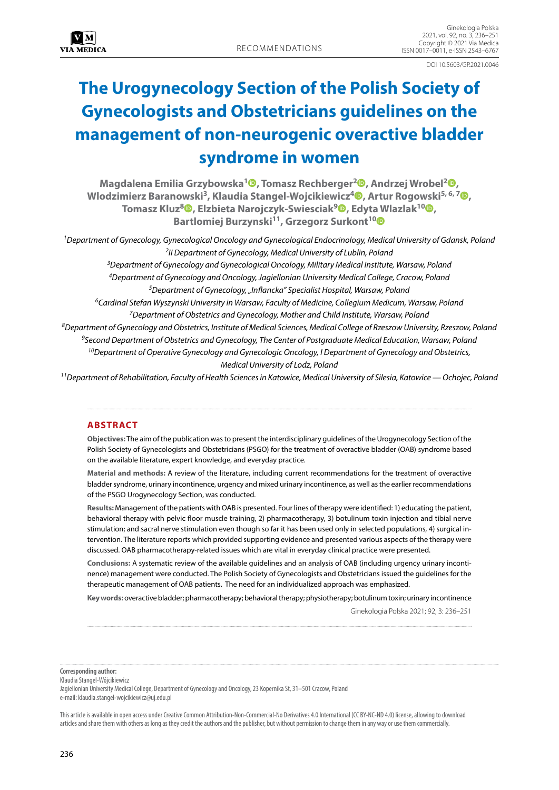DOI 10.5603/GP.2021.0046

# **The Urogynecology Section of the Polish Society of Gynecologists and Obstetricians guidelines on the management of non-neurogenic overactive bladder syndrome in women**

**Magdalena Emilia Grzybowska[1](https://orcid.org/0000-0002-5311-3450) , Tomasz Rechberger2 [,](https://orcid.org/0000-0003-4138-332X) Andrzej Wrobel2 [,](https://orcid.org/0000-0002-5772-0573) Wlodzimierz Baranowski3, Klaudia Stangel-Wojcikiewicz4 [,](https://orcid.org/0000-0001-9773-6767) Artur Rogowski5, 6, 7 [,](https://orcid.org/0000-0001-9184-1275) Tomasz Kluz8 [,](https://orcid.org/0000-0002-4798-3986) Elzbieta Narojczyk-Swiesciak[9](https://orcid.org/0000-0002-4665-1285) , Edyta Wlazlak1[0](https://orcid.org/0000-0002-6453-1500) , Bartlomiej Burzynski11, Grzegorz Surkont1[0](https://orcid.org/0000-0002-2435-9865)**

*1Department of Gynecology, Gynecological Oncology and Gynecological Endocrinology, Medical University of Gdansk, Poland 2II Department of Gynecology, Medical University of Lublin, Poland 3Department of Gynecology and Gynecological Oncology, Military Medical Institute, Warsaw, Poland 4Department of Gynecology and Oncology, Jagiellonian University Medical College, Cracow, Poland 5Department of Gynecology, "Inflancka" Specialist Hospital, Warsaw, Poland 6Cardinal Stefan Wyszynski University in Warsaw, Faculty of Medicine, Collegium Medicum, Warsaw, Poland 7Department of Obstetrics and Gynecology, Mother and Child Institute, Warsaw, Poland 8Department of Gynecology and Obstetrics, Institute of Medical Sciences, Medical College of Rzeszow University, Rzeszow, Poland 9Second Department of Obstetrics and Gynecology, The Center of Postgraduate Medical Education, Warsaw, Poland 10Department of Operative Gynecology and Gynecologic Oncology, I Department of Gynecology and Obstetrics, Medical University of Lodz, Poland*

*11Department of Rehabilitation, Faculty of Health Sciences in Katowice, Medical University of Silesia, Katowice — Ochojec, Poland*

# **ABSTRACT**

**Objectives:** The aim of the publication was to present the interdisciplinary guidelines of the Urogynecology Section of the Polish Society of Gynecologists and Obstetricians (PSGO) for the treatment of overactive bladder (OAB) syndrome based on the available literature, expert knowledge, and everyday practice.

**Material and methods:** A review of the literature, including current recommendations for the treatment of overactive bladder syndrome, urinary incontinence, urgency and mixed urinary incontinence, as well as the earlier recommendations of the PSGO Urogynecology Section, was conducted.

**Results:** Management of the patients with OAB is presented. Four lines of therapy were identified: 1) educating the patient, behavioral therapy with pelvic floor muscle training, 2) pharmacotherapy, 3) botulinum toxin injection and tibial nerve stimulation; and sacral nerve stimulation even though so far it has been used only in selected populations, 4) surgical intervention. The literature reports which provided supporting evidence and presented various aspects of the therapy were discussed. OAB pharmacotherapy-related issues which are vital in everyday clinical practice were presented.

**Conclusions:** A systematic review of the available guidelines and an analysis of OAB (including urgency urinary incontinence) management were conducted. The Polish Society of Gynecologists and Obstetricians issued the guidelines for the therapeutic management of OAB patients. The need for an individualized approach was emphasized.

**Key words:** overactive bladder; pharmacotherapy; behavioral therapy; physiotherapy; botulinum toxin; urinary incontinence

Ginekologia Polska 2021; 92, 3: 236–251

**Corresponding author:**

Klaudia Stangel-Wójcikiewicz

Jagiellonian University Medical College, Department of Gynecology and Oncology, 23 Kopernika St, 31–501 Cracow, Poland e-mail: klaudia.stangel-wojcikiewicz@uj.edu.pl

This article is available in open access under Creative Common Attribution-Non-Commercial-No Derivatives 4.0 International (CC BY-NC-ND 4.0) license, allowing to download articles and share them with others as long as they credit the authors and the publisher, but without permission to change them in any way or use them commercially.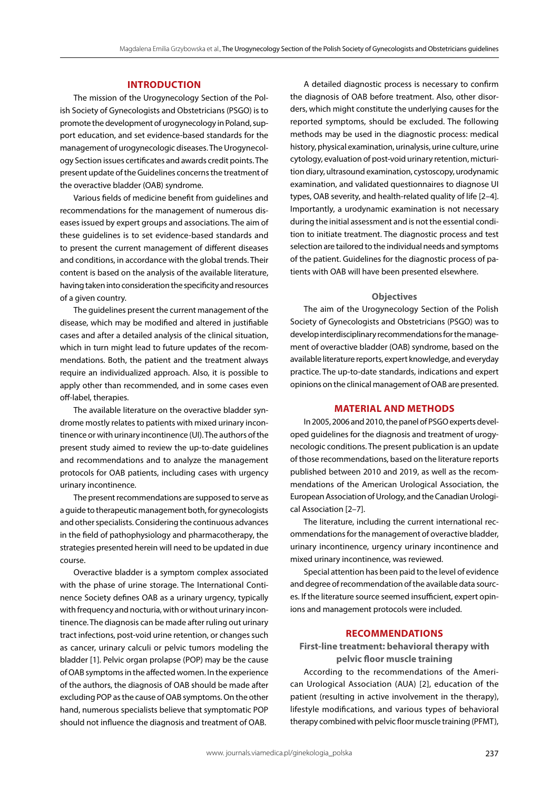# **INTRODUCTION**

The mission of the Urogynecology Section of the Polish Society of Gynecologists and Obstetricians (PSGO) is to promote the development of urogynecology in Poland, support education, and set evidence-based standards for the management of urogynecologic diseases. The Urogynecology Section issues certificates and awards credit points. The present update of the Guidelines concerns the treatment of the overactive bladder (OAB) syndrome.

Various fields of medicine benefit from guidelines and recommendations for the management of numerous diseases issued by expert groups and associations. The aim of these guidelines is to set evidence-based standards and to present the current management of different diseases and conditions, in accordance with the global trends. Their content is based on the analysis of the available literature, having taken into consideration the specificity and resources of a given country.

The guidelines present the current management of the disease, which may be modified and altered in justifiable cases and after a detailed analysis of the clinical situation, which in turn might lead to future updates of the recommendations. Both, the patient and the treatment always require an individualized approach. Also, it is possible to apply other than recommended, and in some cases even off-label, therapies.

The available literature on the overactive bladder syndrome mostly relates to patients with mixed urinary incontinence or with urinary incontinence (UI). The authors of the present study aimed to review the up-to-date guidelines and recommendations and to analyze the management protocols for OAB patients, including cases with urgency urinary incontinence.

The present recommendations are supposed to serve as a guide to therapeutic management both, for gynecologists and other specialists. Considering the continuous advances in the field of pathophysiology and pharmacotherapy, the strategies presented herein will need to be updated in due course.

Overactive bladder is a symptom complex associated with the phase of urine storage. The International Continence Society defines OAB as a urinary urgency, typically with frequency and nocturia, with or without urinary incontinence. The diagnosis can be made after ruling out urinary tract infections, post-void urine retention, or changes such as cancer, urinary calculi or pelvic tumors modeling the bladder [1]. Pelvic organ prolapse (POP) may be the cause of OAB symptoms in the affected women. In the experience of the authors, the diagnosis of OAB should be made after excluding POP as the cause of OAB symptoms. On the other hand, numerous specialists believe that symptomatic POP should not influence the diagnosis and treatment of OAB.

A detailed diagnostic process is necessary to confirm the diagnosis of OAB before treatment. Also, other disorders, which might constitute the underlying causes for the reported symptoms, should be excluded. The following methods may be used in the diagnostic process: medical history, physical examination, urinalysis, urine culture, urine cytology, evaluation of post-void urinary retention, micturition diary, ultrasound examination, cystoscopy, urodynamic examination, and validated questionnaires to diagnose UI types, OAB severity, and health-related quality of life [2–4]. Importantly, a urodynamic examination is not necessary during the initial assessment and is not the essential condition to initiate treatment. The diagnostic process and test selection are tailored to the individual needs and symptoms of the patient. Guidelines for the diagnostic process of patients with OAB will have been presented elsewhere.

#### **Objectives**

The aim of the Urogynecology Section of the Polish Society of Gynecologists and Obstetricians (PSGO) was to develop interdisciplinary recommendations for the management of overactive bladder (OAB) syndrome, based on the available literature reports, expert knowledge, and everyday practice. The up-to-date standards, indications and expert opinions on the clinical management of OAB are presented.

## **MATERIAL AND METHODS**

In 2005, 2006 and 2010, the panel of PSGO experts developed guidelines for the diagnosis and treatment of urogynecologic conditions. The present publication is an update of those recommendations, based on the literature reports published between 2010 and 2019, as well as the recommendations of the American Urological Association, the European Association of Urology, and the Canadian Urological Association [2–7].

The literature, including the current international recommendations for the management of overactive bladder, urinary incontinence, urgency urinary incontinence and mixed urinary incontinence, was reviewed.

Special attention has been paid to the level of evidence and degree of recommendation of the available data sources. If the literature source seemed insufficient, expert opinions and management protocols were included.

# **RECOMMENDATIONS**

# **First-line treatment: behavioral therapy with pelvic floor muscle training**

According to the recommendations of the American Urological Association (AUA) [2], education of the patient (resulting in active involvement in the therapy), lifestyle modifications, and various types of behavioral therapy combined with pelvic floor muscle training (PFMT),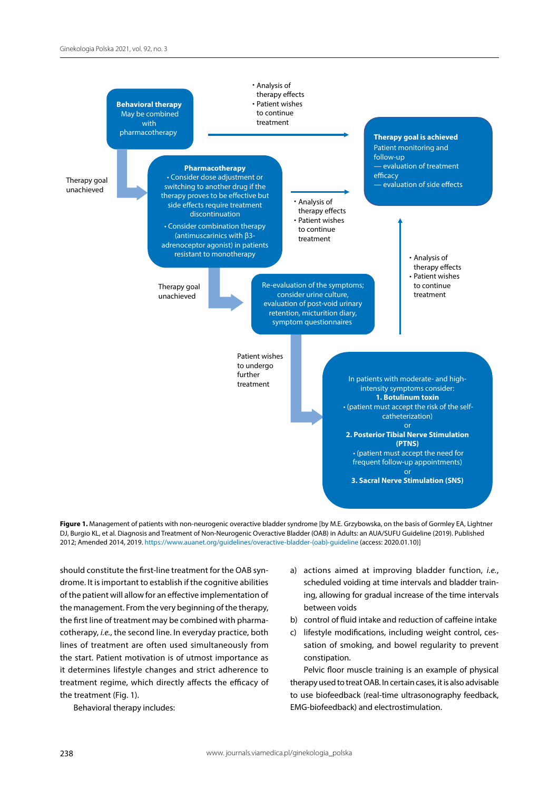



should constitute the first-line treatment for the OAB syndrome. It is important to establish if the cognitive abilities of the patient will allow for an effective implementation of the management. From the very beginning of the therapy, the first line of treatment may be combined with pharmacotherapy, *i.e.*, the second line. In everyday practice, both lines of treatment are often used simultaneously from the start. Patient motivation is of utmost importance as it determines lifestyle changes and strict adherence to treatment regime, which directly affects the efficacy of the treatment (Fig. 1).

Behavioral therapy includes:

- a) actions aimed at improving bladder function, *i.e.*, scheduled voiding at time intervals and bladder training, allowing for gradual increase of the time intervals between voids
- b) control of fluid intake and reduction of caffeine intake
- c) lifestyle modifications, including weight control, cessation of smoking, and bowel regularity to prevent constipation.

Pelvic floor muscle training is an example of physical therapy used to treat OAB. In certain cases, it is also advisable to use biofeedback (real-time ultrasonography feedback, EMG-biofeedback) and electrostimulation.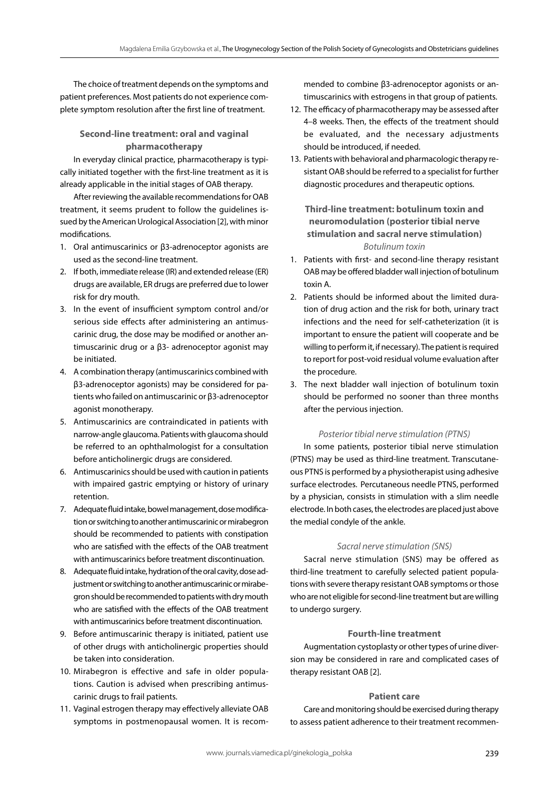The choice of treatment depends on the symptoms and patient preferences. Most patients do not experience complete symptom resolution after the first line of treatment.

# **Second-line treatment: oral and vaginal pharmacotherapy**

In everyday clinical practice, pharmacotherapy is typically initiated together with the first-line treatment as it is already applicable in the initial stages of OAB therapy.

After reviewing the available recommendations for OAB treatment, it seems prudent to follow the guidelines issued by the American Urological Association [2], with minor modifications.

- 1. Oral antimuscarinics or β3-adrenoceptor agonists are used as the second-line treatment.
- 2. If both, immediate release (IR) and extended release (ER) drugs are available, ER drugs are preferred due to lower risk for dry mouth.
- 3. In the event of insufficient symptom control and/or serious side effects after administering an antimuscarinic drug, the dose may be modified or another antimuscarinic drug or a β3- adrenoceptor agonist may be initiated.
- 4. A combination therapy (antimuscarinics combined with β3-adrenoceptor agonists) may be considered for patients who failed on antimuscarinic or β3-adrenoceptor agonist monotherapy.
- 5. Antimuscarinics are contraindicated in patients with narrow-angle glaucoma. Patients with glaucoma should be referred to an ophthalmologist for a consultation before anticholinergic drugs are considered.
- 6. Antimuscarinics should be used with caution in patients with impaired gastric emptying or history of urinary retention.
- 7. Adequate fluid intake, bowel management, dose modification or switching to another antimuscarinic or mirabegron should be recommended to patients with constipation who are satisfied with the effects of the OAB treatment with antimuscarinics before treatment discontinuation.
- 8. Adequate fluid intake, hydration of the oral cavity, dose adjustment or switching to another antimuscarinic or mirabegron should be recommended to patients with dry mouth who are satisfied with the effects of the OAB treatment with antimuscarinics before treatment discontinuation.
- 9. Before antimuscarinic therapy is initiated, patient use of other drugs with anticholinergic properties should be taken into consideration.
- 10. Mirabegron is effective and safe in older populations. Caution is advised when prescribing antimuscarinic drugs to frail patients.
- 11. Vaginal estrogen therapy may effectively alleviate OAB symptoms in postmenopausal women. It is recom-

mended to combine β3-adrenoceptor agonists or antimuscarinics with estrogens in that group of patients.

- 12. The efficacy of pharmacotherapy may be assessed after 4–8 weeks. Then, the effects of the treatment should be evaluated, and the necessary adjustments should be introduced, if needed.
- 13. Patients with behavioral and pharmacologic therapy resistant OAB should be referred to a specialist for further diagnostic procedures and therapeutic options.

**Third-line treatment: botulinum toxin and neuromodulation (posterior tibial nerve stimulation and sacral nerve stimulation)** *Botulinum toxin*

- 1. Patients with first- and second-line therapy resistant OAB may be offered bladder wall injection of botulinum toxin A.
- 2. Patients should be informed about the limited duration of drug action and the risk for both, urinary tract infections and the need for self-catheterization (it is important to ensure the patient will cooperate and be willing to perform it, if necessary). The patient is required to report for post-void residual volume evaluation after the procedure.
- 3. The next bladder wall injection of botulinum toxin should be performed no sooner than three months after the pervious injection.

## *Posterior tibial nerve stimulation (PTNS)*

In some patients, posterior tibial nerve stimulation (PTNS) may be used as third-line treatment. Transcutaneous PTNS is performed by a physiotherapist using adhesive surface electrodes. Percutaneous needle PTNS, performed by a physician, consists in stimulation with a slim needle electrode. In both cases, the electrodes are placed just above the medial condyle of the ankle.

## *Sacral nerve stimulation (SNS)*

Sacral nerve stimulation (SNS) may be offered as third-line treatment to carefully selected patient populations with severe therapy resistant OAB symptoms or those who are not eligible for second-line treatment but are willing to undergo surgery.

## **Fourth-line treatment**

Augmentation cystoplasty or other types of urine diversion may be considered in rare and complicated cases of therapy resistant OAB [2].

# **Patient care**

Care and monitoring should be exercised during therapy to assess patient adherence to their treatment recommen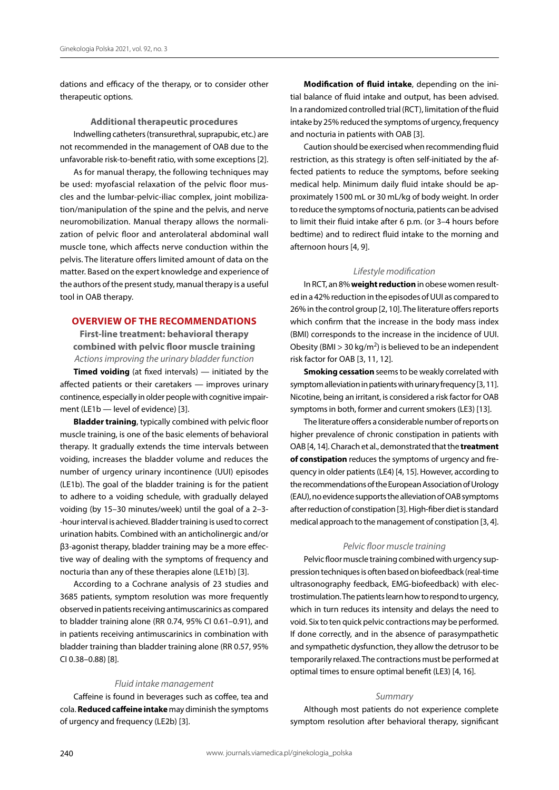dations and efficacy of the therapy, or to consider other therapeutic options.

## **Additional therapeutic procedures**

Indwelling catheters (transurethral, suprapubic, etc.) are not recommended in the management of OAB due to the unfavorable risk-to-benefit ratio, with some exceptions [2].

As for manual therapy, the following techniques may be used: myofascial relaxation of the pelvic floor muscles and the lumbar-pelvic-iliac complex, joint mobilization/manipulation of the spine and the pelvis, and nerve neuromobilization. Manual therapy allows the normalization of pelvic floor and anterolateral abdominal wall muscle tone, which affects nerve conduction within the pelvis. The literature offers limited amount of data on the matter. Based on the expert knowledge and experience of the authors of the present study, manual therapy is a useful tool in OAB therapy.

# **OVERVIEW OF THE RECOMMENDATIONS**

**First-line treatment: behavioral therapy combined with pelvic floor muscle training** *Actions improving the urinary bladder function*

**Timed voiding** (at fixed intervals) — initiated by the affected patients or their caretakers — improves urinary continence, especially in older people with cognitive impairment (LE1b — level of evidence) [3].

**Bladder training**, typically combined with pelvic floor muscle training, is one of the basic elements of behavioral therapy. It gradually extends the time intervals between voiding, increases the bladder volume and reduces the number of urgency urinary incontinence (UUI) episodes (LE1b). The goal of the bladder training is for the patient to adhere to a voiding schedule, with gradually delayed voiding (by 15–30 minutes/week) until the goal of a 2–3- -hour interval is achieved. Bladder training is used to correct urination habits. Combined with an anticholinergic and/or β3-agonist therapy, bladder training may be a more effective way of dealing with the symptoms of frequency and nocturia than any of these therapies alone (LE1b) [3].

According to a Cochrane analysis of 23 studies and 3685 patients, symptom resolution was more frequently observed in patients receiving antimuscarinics as compared to bladder training alone (RR 0.74, 95% CI 0.61–0.91), and in patients receiving antimuscarinics in combination with bladder training than bladder training alone (RR 0.57, 95% CI 0.38–0.88) [8].

#### *Fluid intake management*

Caffeine is found in beverages such as coffee, tea and cola. **Reduced caffeine intake** may diminish the symptoms of urgency and frequency (LE2b) [3].

**Modification of fluid intake**, depending on the initial balance of fluid intake and output, has been advised. In a randomized controlled trial (RCT), limitation of the fluid intake by 25% reduced the symptoms of urgency, frequency and nocturia in patients with OAB [3].

Caution should be exercised when recommending fluid restriction, as this strategy is often self-initiated by the affected patients to reduce the symptoms, before seeking medical help. Minimum daily fluid intake should be approximately 1500 mL or 30 mL/kg of body weight. In order to reduce the symptoms of nocturia, patients can be advised to limit their fluid intake after 6 p.m. (or 3–4 hours before bedtime) and to redirect fluid intake to the morning and afternoon hours [4, 9].

#### *Lifestyle modification*

In RCT, an 8% **weight reduction** in obese women resulted in a 42% reduction in the episodes of UUI as compared to 26% in the control group [2, 10]. The literature offers reports which confirm that the increase in the body mass index (BMI) corresponds to the increase in the incidence of UUI. Obesity (BMI > 30 kg/m<sup>2</sup>) is believed to be an independent risk factor for OAB [3, 11, 12].

**Smoking cessation** seems to be weakly correlated with symptom alleviation in patients with urinary frequency [3, 11]. Nicotine, being an irritant, is considered a risk factor for OAB symptoms in both, former and current smokers (LE3) [13].

The literature offers a considerable number of reports on higher prevalence of chronic constipation in patients with OAB [4, 14]. Charach et al., demonstrated that the **treatment of constipation** reduces the symptoms of urgency and frequency in older patients (LE4) [4, 15]. However, according to the recommendations of the European Association of Urology (EAU), no evidence supports the alleviation of OAB symptoms after reduction of constipation [3]. High-fiber diet is standard medical approach to the management of constipation [3, 4].

#### *Pelvic floor muscle training*

Pelvic floor muscle training combined with urgency suppression techniques is often based on biofeedback (real-time ultrasonography feedback, EMG-biofeedback) with electrostimulation. The patients learn how to respond to urgency, which in turn reduces its intensity and delays the need to void. Six to ten quick pelvic contractions may be performed. If done correctly, and in the absence of parasympathetic and sympathetic dysfunction, they allow the detrusor to be temporarily relaxed. The contractions must be performed at optimal times to ensure optimal benefit (LE3) [4, 16].

#### *Summary*

Although most patients do not experience complete symptom resolution after behavioral therapy, significant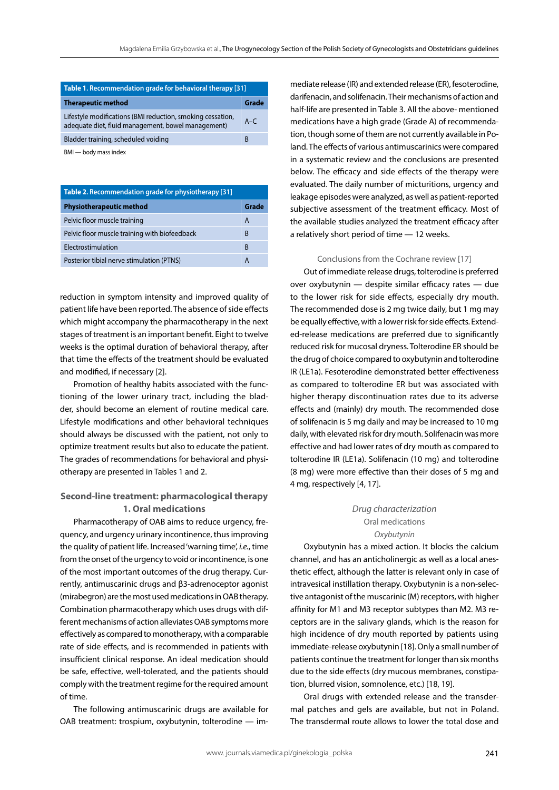| <b>Table 1. Recommendation grade for behavioral therapy [31]</b>                                                 |              |  |  |
|------------------------------------------------------------------------------------------------------------------|--------------|--|--|
| <b>Therapeutic method</b>                                                                                        | Grade        |  |  |
| Lifestyle modifications (BMI reduction, smoking cessation,<br>adequate diet, fluid management, bowel management) | $A - C$      |  |  |
| Bladder training, scheduled voiding                                                                              | <sub>R</sub> |  |  |
|                                                                                                                  |              |  |  |

BMI — body mass index

| <b>Table 2. Recommendation grade for physiotherapy [31]</b> |       |  |
|-------------------------------------------------------------|-------|--|
| <b>Physiotherapeutic method</b>                             | Grade |  |
| Pelvic floor muscle training                                | A     |  |
| Pelvic floor muscle training with biofeedback               | B     |  |
| Electrostimulation                                          | B     |  |
| Posterior tibial nerve stimulation (PTNS)                   |       |  |

reduction in symptom intensity and improved quality of patient life have been reported. The absence of side effects which might accompany the pharmacotherapy in the next stages of treatment is an important benefit. Eight to twelve weeks is the optimal duration of behavioral therapy, after that time the effects of the treatment should be evaluated and modified, if necessary [2].

Promotion of healthy habits associated with the functioning of the lower urinary tract, including the bladder, should become an element of routine medical care. Lifestyle modifications and other behavioral techniques should always be discussed with the patient, not only to optimize treatment results but also to educate the patient. The grades of recommendations for behavioral and physiotherapy are presented in Tables 1 and 2.

# **Second-line treatment: pharmacological therapy 1. Oral medications**

Pharmacotherapy of OAB aims to reduce urgency, frequency, and urgency urinary incontinence, thus improving the quality of patient life. Increased 'warning time', *i.e.*, time from the onset of the urgency to void or incontinence, is one of the most important outcomes of the drug therapy. Currently, antimuscarinic drugs and β3-adrenoceptor agonist (mirabegron) are the most used medications in OAB therapy. Combination pharmacotherapy which uses drugs with different mechanisms of action alleviates OAB symptoms more effectively as compared to monotherapy, with a comparable rate of side effects, and is recommended in patients with insufficient clinical response. An ideal medication should be safe, effective, well-tolerated, and the patients should comply with the treatment regime for the required amount of time.

The following antimuscarinic drugs are available for OAB treatment: trospium, oxybutynin, tolterodine — immediate release (IR) and extended release (ER), fesoterodine, darifenacin, and solifenacin. Their mechanisms of action and half-life are presented in Table 3. All the above- mentioned medications have a high grade (Grade A) of recommendation, though some of them are not currently available in Poland. The effects of various antimuscarinics were compared in a systematic review and the conclusions are presented below. The efficacy and side effects of the therapy were evaluated. The daily number of micturitions, urgency and leakage episodes were analyzed, as well as patient-reported subjective assessment of the treatment efficacy. Most of the available studies analyzed the treatment efficacy after a relatively short period of time — 12 weeks.

# Conclusions from the Cochrane review [17]

Out of immediate release drugs, tolterodine is preferred over oxybutynin — despite similar efficacy rates — due to the lower risk for side effects, especially dry mouth. The recommended dose is 2 mg twice daily, but 1 mg may be equally effective, with a lower risk for side effects. Extended-release medications are preferred due to significantly reduced risk for mucosal dryness. Tolterodine ER should be the drug of choice compared to oxybutynin and tolterodine IR (LE1a). Fesoterodine demonstrated better effectiveness as compared to tolterodine ER but was associated with higher therapy discontinuation rates due to its adverse effects and (mainly) dry mouth. The recommended dose of solifenacin is 5 mg daily and may be increased to 10 mg daily, with elevated risk for dry mouth. Solifenacin was more effective and had lower rates of dry mouth as compared to tolterodine IR (LE1a). Solifenacin (10 mg) and tolterodine (8 mg) were more effective than their doses of 5 mg and 4 mg, respectively [4, 17].

# *Drug characterization*  Oral medications *Oxybutynin*

Oxybutynin has a mixed action. It blocks the calcium channel, and has an anticholinergic as well as a local anesthetic effect, although the latter is relevant only in case of intravesical instillation therapy. Oxybutynin is a non-selective antagonist of the muscarinic (M) receptors, with higher affinity for M1 and M3 receptor subtypes than M2. M3 receptors are in the salivary glands, which is the reason for high incidence of dry mouth reported by patients using immediate-release oxybutynin [18]. Only a small number of patients continue the treatment for longer than six months due to the side effects (dry mucous membranes, constipation, blurred vision, somnolence, etc.) [18, 19].

Oral drugs with extended release and the transdermal patches and gels are available, but not in Poland. The transdermal route allows to lower the total dose and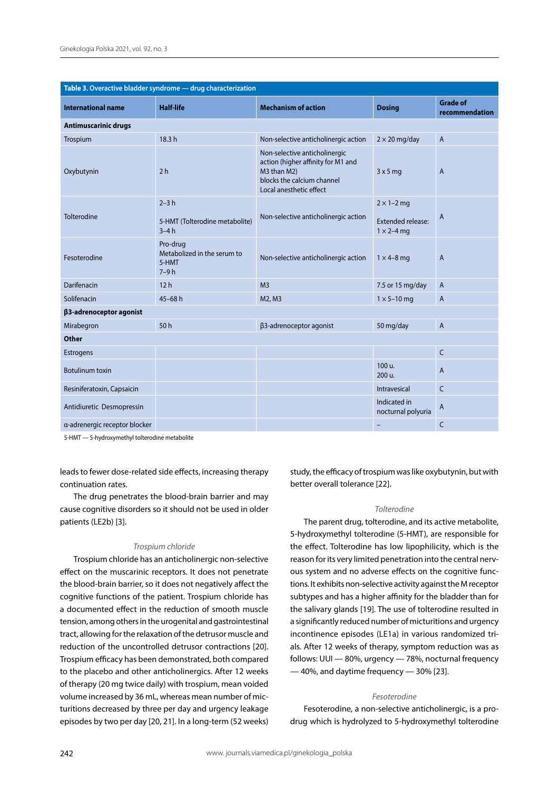| Table 3. Overactive bladder syndrome - drug characterization |                                                            |                                                                                                                                             |                                          |                                   |  |  |
|--------------------------------------------------------------|------------------------------------------------------------|---------------------------------------------------------------------------------------------------------------------------------------------|------------------------------------------|-----------------------------------|--|--|
| <b>International name</b>                                    | <b>Half-life</b>                                           | <b>Mechanism of action</b>                                                                                                                  | <b>Dosing</b>                            | <b>Grade of</b><br>recommendation |  |  |
| <b>Antimuscarinic drugs</b>                                  |                                                            |                                                                                                                                             |                                          |                                   |  |  |
| Trospium                                                     | 18.3 h                                                     | Non-selective anticholinergic action                                                                                                        | $2 \times 20$ mg/day                     | $\overline{A}$                    |  |  |
| Oxybutynin                                                   | 2 <sub>h</sub>                                             | Non-selective anticholinergic<br>action (higher affinity for M1 and<br>M3 than M2)<br>blocks the calcium channel<br>Local anesthetic effect | 3x5mg                                    | A                                 |  |  |
| Tolterodine                                                  | $2-3h$                                                     | Non-selective anticholinergic action                                                                                                        | $2 \times 1 - 2$ mg                      |                                   |  |  |
|                                                              | 5-HMT (Tolterodine metabolite)<br>$3-4h$                   |                                                                                                                                             | Extended release:<br>$1 \times 2 - 4$ mg | A                                 |  |  |
| Fesoterodine                                                 | Pro-drug<br>Metabolized in the serum to<br>5-HMT<br>$7-9h$ | Non-selective anticholinergic action                                                                                                        | $1 \times 4 - 8$ mg                      | A                                 |  |  |
| Darifenacin                                                  | 12h                                                        | M <sub>3</sub>                                                                                                                              | 7.5 or 15 mg/day                         | $\mathsf{A}$                      |  |  |
| Solifenacin                                                  | $45 - 68h$                                                 | M2, M3                                                                                                                                      | $1 \times 5 - 10$ mg                     | $\overline{A}$                    |  |  |
| β3-adrenoceptor agonist                                      |                                                            |                                                                                                                                             |                                          |                                   |  |  |
| Mirabegron                                                   | 50h                                                        | β3-adrenoceptor agonist                                                                                                                     | 50 mg/day                                | $\boldsymbol{\mathsf{A}}$         |  |  |
| <b>Other</b>                                                 |                                                            |                                                                                                                                             |                                          |                                   |  |  |
| Estrogens                                                    |                                                            |                                                                                                                                             |                                          | $\mathsf{C}$                      |  |  |
| Botulinum toxin                                              |                                                            |                                                                                                                                             | 100 u.<br>200 u.                         | A                                 |  |  |
| Resiniferatoxin, Capsaicin                                   |                                                            |                                                                                                                                             | Intravesical                             | $\mathsf{C}$                      |  |  |
| Antidiuretic Desmopressin                                    |                                                            |                                                                                                                                             | Indicated in<br>nocturnal polyuria       | A                                 |  |  |
| a-adrenergic receptor blocker                                |                                                            |                                                                                                                                             | -                                        | $\mathsf{C}$                      |  |  |

5-HMT — 5-hydroxymethyl tolterodine metabolite

leads to fewer dose-related side effects, increasing therapy continuation rates.

The drug penetrates the blood-brain barrier and may cause cognitive disorders so it should not be used in older patients (LE2b) [3].

#### *Trospium chloride*

Trospium chloride has an anticholinergic non-selective effect on the muscarinic receptors. It does not penetrate the blood-brain barrier, so it does not negatively affect the cognitive functions of the patient. Trospium chloride has a documented effect in the reduction of smooth muscle tension, among others in the urogenital and gastrointestinal tract, allowing for the relaxation of the detrusor muscle and reduction of the uncontrolled detrusor contractions [20]. Trospium efficacy has been demonstrated, both compared to the placebo and other anticholinergics. After 12 weeks of therapy (20 mg twice daily) with trospium, mean voided volume increased by 36 mL, whereas mean number of micturitions decreased by three per day and urgency leakage episodes by two per day [20, 21]. In a long-term (52 weeks) study, the efficacy of trospium was like oxybutynin, but with better overall tolerance [22].

#### *Tolterodine*

The parent drug, tolterodine, and its active metabolite, 5-hydroxymethyl tolterodine (5-HMT), are responsible for the effect. Tolterodine has low lipophilicity, which is the reason for its very limited penetration into the central nervous system and no adverse effects on the cognitive functions. It exhibits non-selective activity against the M receptor subtypes and has a higher affinity for the bladder than for the salivary glands [19]. The use of tolterodine resulted in a significantly reduced number of micturitions and urgency incontinence episodes (LE1a) in various randomized trials. After 12 weeks of therapy, symptom reduction was as follows: UUI — 80%, urgency — 78%, nocturnal frequency — 40%, and daytime frequency — 30% [23].

## *Fesoterodine*

Fesoterodine, a non-selective anticholinergic, is a prodrug which is hydrolyzed to 5-hydroxymethyl tolterodine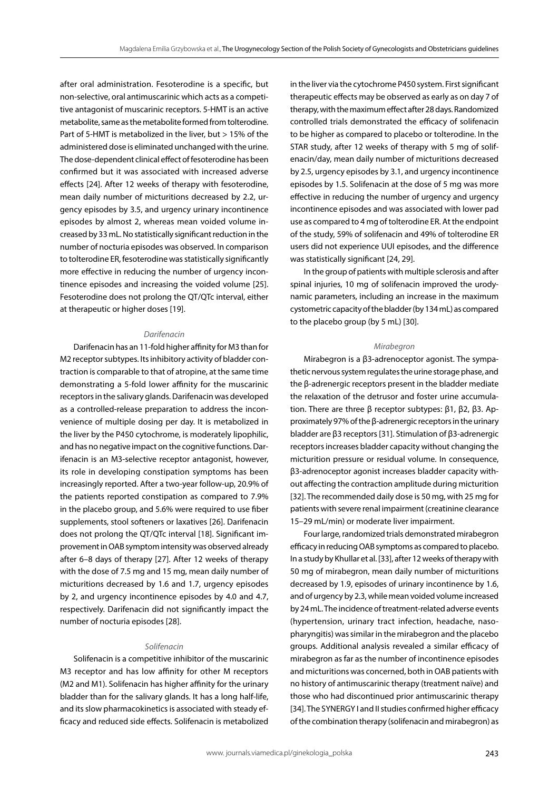after oral administration. Fesoterodine is a specific, but non-selective, oral antimuscarinic which acts as a competitive antagonist of muscarinic receptors. 5-HMT is an active metabolite, same as the metabolite formed from tolterodine. Part of 5-HMT is metabolized in the liver, but > 15% of the administered dose is eliminated unchanged with the urine. The dose-dependent clinical effect of fesoterodine has been confirmed but it was associated with increased adverse effects [24]. After 12 weeks of therapy with fesoterodine, mean daily number of micturitions decreased by 2.2, urgency episodes by 3.5, and urgency urinary incontinence episodes by almost 2, whereas mean voided volume increased by 33 mL. No statistically significant reduction in the number of nocturia episodes was observed. In comparison to tolterodine ER, fesoterodine was statistically significantly more effective in reducing the number of urgency incontinence episodes and increasing the voided volume [25]. Fesoterodine does not prolong the QT/QTc interval, either at therapeutic or higher doses [19].

#### *Darifenacin*

Darifenacin has an 11-fold higher affinity for M3 than for M2 receptor subtypes. Its inhibitory activity of bladder contraction is comparable to that of atropine, at the same time demonstrating a 5-fold lower affinity for the muscarinic receptors in the salivary glands. Darifenacin was developed as a controlled-release preparation to address the inconvenience of multiple dosing per day. It is metabolized in the liver by the P450 cytochrome, is moderately lipophilic, and has no negative impact on the cognitive functions. Darifenacin is an M3-selective receptor antagonist, however, its role in developing constipation symptoms has been increasingly reported. After a two-year follow-up, 20.9% of the patients reported constipation as compared to 7.9% in the placebo group, and 5.6% were required to use fiber supplements, stool softeners or laxatives [26]. Darifenacin does not prolong the QT/QTc interval [18]. Significant improvement in OAB symptom intensity was observed already after 6–8 days of therapy [27]. After 12 weeks of therapy with the dose of 7.5 mg and 15 mg, mean daily number of micturitions decreased by 1.6 and 1.7, urgency episodes by 2, and urgency incontinence episodes by 4.0 and 4.7, respectively. Darifenacin did not significantly impact the number of nocturia episodes [28].

#### *Solifenacin*

Solifenacin is a competitive inhibitor of the muscarinic M3 receptor and has low affinity for other M receptors (M2 and M1). Solifenacin has higher affinity for the urinary bladder than for the salivary glands. It has a long half-life, and its slow pharmacokinetics is associated with steady efficacy and reduced side effects. Solifenacin is metabolized in the liver via the cytochrome P450 system. First significant therapeutic effects may be observed as early as on day 7 of therapy, with the maximum effect after 28 days. Randomized controlled trials demonstrated the efficacy of solifenacin to be higher as compared to placebo or tolterodine. In the STAR study, after 12 weeks of therapy with 5 mg of solifenacin/day, mean daily number of micturitions decreased by 2.5, urgency episodes by 3.1, and urgency incontinence episodes by 1.5. Solifenacin at the dose of 5 mg was more effective in reducing the number of urgency and urgency incontinence episodes and was associated with lower pad use as compared to 4 mg of tolterodine ER. At the endpoint of the study, 59% of solifenacin and 49% of tolterodine ER users did not experience UUI episodes, and the difference was statistically significant [24, 29].

In the group of patients with multiple sclerosis and after spinal injuries, 10 mg of solifenacin improved the urodynamic parameters, including an increase in the maximum cystometric capacity of the bladder (by 134 mL) as compared to the placebo group (by 5 mL) [30].

#### *Mirabegron*

Mirabegron is a β3-adrenoceptor agonist. The sympathetic nervous system regulates the urine storage phase, and the β-adrenergic receptors present in the bladder mediate the relaxation of the detrusor and foster urine accumulation. There are three β receptor subtypes: β1, β2, β3. Approximately 97% of the β-adrenergic receptors in the urinary bladder are β3 receptors [31]. Stimulation of β3-adrenergic receptors increases bladder capacity without changing the micturition pressure or residual volume. In consequence, β3-adrenoceptor agonist increases bladder capacity without affecting the contraction amplitude during micturition [32]. The recommended daily dose is 50 mg, with 25 mg for patients with severe renal impairment (creatinine clearance 15–29 mL/min) or moderate liver impairment.

Four large, randomized trials demonstrated mirabegron efficacy in reducing OAB symptoms as compared to placebo. In a study by Khullar et al. [33], after 12 weeks of therapy with 50 mg of mirabegron, mean daily number of micturitions decreased by 1.9, episodes of urinary incontinence by 1.6, and of urgency by 2.3, while mean voided volume increased by 24 mL. The incidence of treatment-related adverse events (hypertension, urinary tract infection, headache, nasopharyngitis) was similar in the mirabegron and the placebo groups. Additional analysis revealed a similar efficacy of mirabegron as far as the number of incontinence episodes and micturitions was concerned, both in OAB patients with no history of antimuscarinic therapy (treatment naïve) and those who had discontinued prior antimuscarinic therapy [34]. The SYNERGY I and II studies confirmed higher efficacy of the combination therapy (solifenacin and mirabegron) as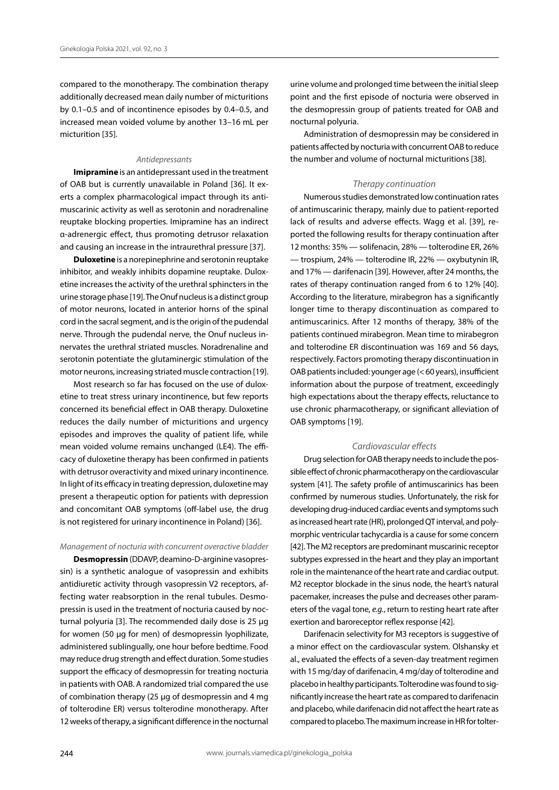compared to the monotherapy. The combination therapy additionally decreased mean daily number of micturitions by 0.1–0.5 and of incontinence episodes by 0.4–0.5, and increased mean voided volume by another 13–16 mL per micturition [35].

## *Antidepressants*

**Imipramine** is an antidepressant used in the treatment of OAB but is currently unavailable in Poland [36]. It exerts a complex pharmacological impact through its antimuscarinic activity as well as serotonin and noradrenaline reuptake blocking properties. Imipramine has an indirect α-adrenergic effect, thus promoting detrusor relaxation and causing an increase in the intraurethral pressure [37].

**Duloxetine** is a norepinephrine and serotonin reuptake inhibitor, and weakly inhibits dopamine reuptake. Duloxetine increases the activity of the urethral sphincters in the urine storage phase [19]. The Onuf nucleus is a distinct group of motor neurons, located in anterior horns of the spinal cord in the sacral segment, and is the origin of the pudendal nerve. Through the pudendal nerve, the Onuf nucleus innervates the urethral striated muscles. Noradrenaline and serotonin potentiate the glutaminergic stimulation of the motor neurons, increasing striated muscle contraction [19].

Most research so far has focused on the use of duloxetine to treat stress urinary incontinence, but few reports concerned its beneficial effect in OAB therapy. Duloxetine reduces the daily number of micturitions and urgency episodes and improves the quality of patient life, while mean voided volume remains unchanged (LE4). The efficacy of duloxetine therapy has been confirmed in patients with detrusor overactivity and mixed urinary incontinence. In light of its efficacy in treating depression, duloxetine may present a therapeutic option for patients with depression and concomitant OAB symptoms (off-label use, the drug is not registered for urinary incontinence in Poland) [36].

#### *Management of nocturia with concurrent overactive bladder*

**Desmopressin** (DDAVP, deamino-D-arginine vasopressin) is a synthetic analogue of vasopressin and exhibits antidiuretic activity through vasopressin V2 receptors, affecting water reabsorption in the renal tubules. Desmopressin is used in the treatment of nocturia caused by nocturnal polyuria [3]. The recommended daily dose is 25 µg for women (50 µg for men) of desmopressin lyophilizate, administered sublingually, one hour before bedtime. Food may reduce drug strength and effect duration. Some studies support the efficacy of desmopressin for treating nocturia in patients with OAB. A randomized trial compared the use of combination therapy (25 µg of desmopressin and 4 mg of tolterodine ER) versus tolterodine monotherapy. After 12 weeks of therapy, a significant difference in the nocturnal

urine volume and prolonged time between the initial sleep point and the first episode of nocturia were observed in the desmopressin group of patients treated for OAB and nocturnal polyuria.

Administration of desmopressin may be considered in patients affected by nocturia with concurrent OAB to reduce the number and volume of nocturnal micturitions [38].

#### *Therapy continuation*

Numerous studies demonstrated low continuation rates of antimuscarinic therapy, mainly due to patient-reported lack of results and adverse effects. Wagg et al. [39], reported the following results for therapy continuation after 12 months: 35% — solifenacin, 28% — tolterodine ER, 26% — trospium, 24% — tolterodine IR, 22% — oxybutynin IR, and 17% — darifenacin [39]. However, after 24 months, the rates of therapy continuation ranged from 6 to 12% [40]. According to the literature, mirabegron has a significantly longer time to therapy discontinuation as compared to antimuscarinics. After 12 months of therapy, 38% of the patients continued mirabegron. Mean time to mirabegron and tolterodine ER discontinuation was 169 and 56 days, respectively. Factors promoting therapy discontinuation in OAB patients included: younger age (< 60 years), insufficient information about the purpose of treatment, exceedingly high expectations about the therapy effects, reluctance to use chronic pharmacotherapy, or significant alleviation of OAB symptoms [19].

## *Cardiovascular effects*

Drug selection for OAB therapy needs to include the possible effect of chronic pharmacotherapy on the cardiovascular system [41]. The safety profile of antimuscarinics has been confirmed by numerous studies. Unfortunately, the risk for developing drug-induced cardiac events and symptoms such as increased heart rate (HR), prolonged QT interval, and polymorphic ventricular tachycardia is a cause for some concern [42]. The M2 receptors are predominant muscarinic receptor subtypes expressed in the heart and they play an important role in the maintenance of the heart rate and cardiac output. M2 receptor blockade in the sinus node, the heart's natural pacemaker, increases the pulse and decreases other parameters of the vagal tone, *e.g.*, return to resting heart rate after exertion and baroreceptor reflex response [42].

Darifenacin selectivity for M3 receptors is suggestive of a minor effect on the cardiovascular system. Olshansky et al., evaluated the effects of a seven-day treatment regimen with 15 mg/day of darifenacin, 4 mg/day of tolterodine and placebo in healthy participants. Tolterodine was found to significantly increase the heart rate as compared to darifenacin and placebo, while darifenacin did not affect the heart rate as compared to placebo. The maximum increase in HR for tolter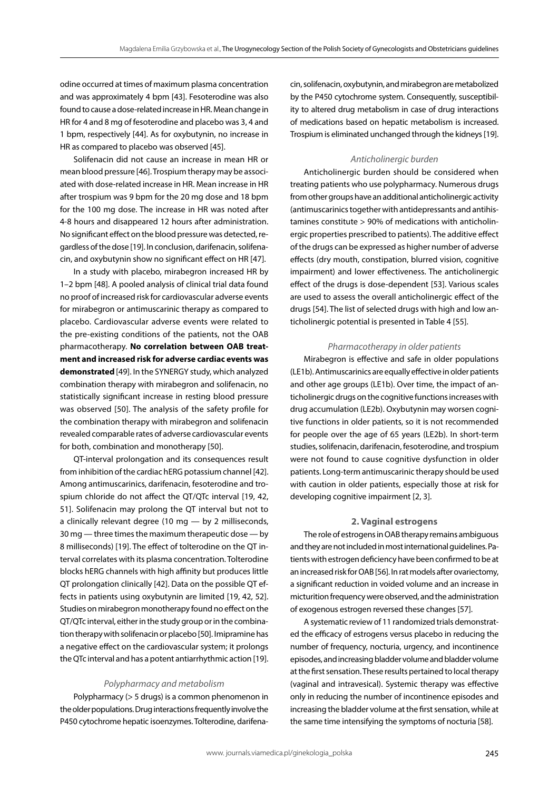odine occurred at times of maximum plasma concentration and was approximately 4 bpm [43]. Fesoterodine was also found to cause a dose-related increase in HR. Mean change in HR for 4 and 8 mg of fesoterodine and placebo was 3, 4 and 1 bpm, respectively [44]. As for oxybutynin, no increase in HR as compared to placebo was observed [45].

Solifenacin did not cause an increase in mean HR or mean blood pressure [46]. Trospium therapy may be associated with dose-related increase in HR. Mean increase in HR after trospium was 9 bpm for the 20 mg dose and 18 bpm for the 100 mg dose. The increase in HR was noted after 4-8 hours and disappeared 12 hours after administration. No significant effect on the blood pressure was detected, regardless of the dose [19]. In conclusion, darifenacin, solifenacin, and oxybutynin show no significant effect on HR [47].

In a study with placebo, mirabegron increased HR by 1–2 bpm [48]. A pooled analysis of clinical trial data found no proof of increased risk for cardiovascular adverse events for mirabegron or antimuscarinic therapy as compared to placebo. Cardiovascular adverse events were related to the pre-existing conditions of the patients, not the OAB pharmacotherapy. **No correlation between OAB treatment and increased risk for adverse cardiac events was demonstrated** [49]. In the SYNERGY study, which analyzed combination therapy with mirabegron and solifenacin, no statistically significant increase in resting blood pressure was observed [50]. The analysis of the safety profile for the combination therapy with mirabegron and solifenacin revealed comparable rates of adverse cardiovascular events for both, combination and monotherapy [50].

QT-interval prolongation and its consequences result from inhibition of the cardiac hERG potassium channel [42]. Among antimuscarinics, darifenacin, fesoterodine and trospium chloride do not affect the QT/QTc interval [19, 42, 51]. Solifenacin may prolong the QT interval but not to a clinically relevant degree (10 mg  $-$  by 2 milliseconds, 30 mg — three times the maximum therapeutic dose — by 8 milliseconds) [19]. The effect of tolterodine on the QT interval correlates with its plasma concentration. Tolterodine blocks hERG channels with high affinity but produces little QT prolongation clinically [42]. Data on the possible QT effects in patients using oxybutynin are limited [19, 42, 52]. Studies on mirabegron monotherapy found no effect on the QT/QTc interval, either in the study group or in the combination therapy with solifenacin or placebo [50]. Imipramine has a negative effect on the cardiovascular system; it prolongs the QTc interval and has a potent antiarrhythmic action [19].

#### *Polypharmacy and metabolism*

Polypharmacy (> 5 drugs) is a common phenomenon in the older populations. Drug interactions frequently involve the P450 cytochrome hepatic isoenzymes. Tolterodine, darifenacin, solifenacin, oxybutynin, and mirabegron are metabolized by the P450 cytochrome system. Consequently, susceptibility to altered drug metabolism in case of drug interactions of medications based on hepatic metabolism is increased. Trospium is eliminated unchanged through the kidneys [19].

# *Anticholinergic burden*

Anticholinergic burden should be considered when treating patients who use polypharmacy. Numerous drugs from other groups have an additional anticholinergic activity (antimuscarinics together with antidepressants and antihistamines constitute > 90% of medications with anticholinergic properties prescribed to patients). The additive effect of the drugs can be expressed as higher number of adverse effects (dry mouth, constipation, blurred vision, cognitive impairment) and lower effectiveness. The anticholinergic effect of the drugs is dose-dependent [53]. Various scales are used to assess the overall anticholinergic effect of the drugs [54]. The list of selected drugs with high and low anticholinergic potential is presented in Table 4 [55].

#### *Pharmacotherapy in older patients*

Mirabegron is effective and safe in older populations (LE1b). Antimuscarinics are equally effective in older patients and other age groups (LE1b). Over time, the impact of anticholinergic drugs on the cognitive functions increases with drug accumulation (LE2b). Oxybutynin may worsen cognitive functions in older patients, so it is not recommended for people over the age of 65 years (LE2b). In short-term studies, solifenacin, darifenacin, fesoterodine, and trospium were not found to cause cognitive dysfunction in older patients. Long-term antimuscarinic therapy should be used with caution in older patients, especially those at risk for developing cognitive impairment [2, 3].

# **2. Vaginal estrogens**

The role of estrogens in OAB therapy remains ambiguous and they are not included in most international guidelines. Patients with estrogen deficiency have been confirmed to be at an increased risk for OAB [56]. In rat models after ovariectomy, a significant reduction in voided volume and an increase in micturition frequency were observed, and the administration of exogenous estrogen reversed these changes [57].

A systematic review of 11 randomized trials demonstrated the efficacy of estrogens versus placebo in reducing the number of frequency, nocturia, urgency, and incontinence episodes, and increasing bladder volume and bladder volume at the first sensation. These results pertained to local therapy (vaginal and intravesical). Systemic therapy was effective only in reducing the number of incontinence episodes and increasing the bladder volume at the first sensation, while at the same time intensifying the symptoms of nocturia [58].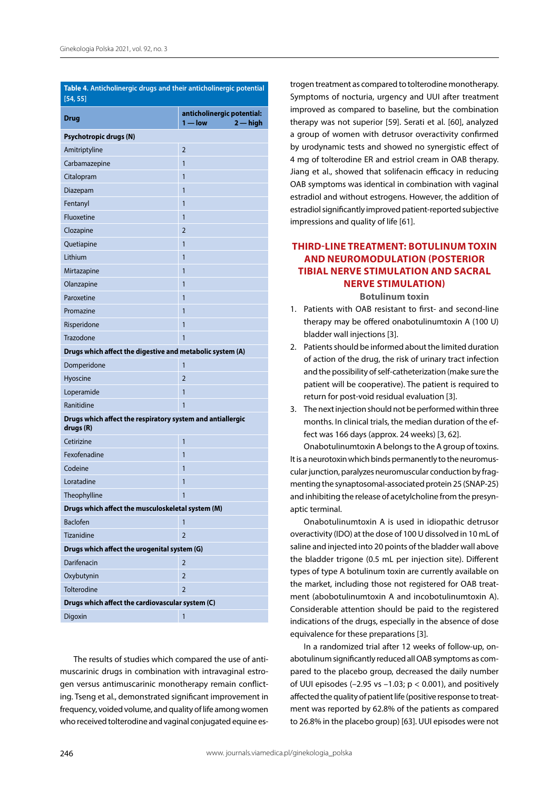| Table 4. Anticholinergic drugs and their anticholinergic potential<br>[54, 55] |                                                     |  |  |  |
|--------------------------------------------------------------------------------|-----------------------------------------------------|--|--|--|
| <b>Drug</b>                                                                    | anticholinergic potential:<br>$1 - low$<br>2 — high |  |  |  |
| Psychotropic drugs (N)                                                         |                                                     |  |  |  |
| Amitriptyline                                                                  | $\overline{2}$                                      |  |  |  |
| Carbamazepine                                                                  | 1                                                   |  |  |  |
| Citalopram                                                                     | 1                                                   |  |  |  |
| Diazepam                                                                       | 1                                                   |  |  |  |
| Fentanyl                                                                       | 1                                                   |  |  |  |
| Fluoxetine                                                                     | 1                                                   |  |  |  |
| Clozapine                                                                      | $\overline{2}$                                      |  |  |  |
| Quetiapine                                                                     | 1                                                   |  |  |  |
| Lithium                                                                        | 1                                                   |  |  |  |
| Mirtazapine                                                                    | 1                                                   |  |  |  |
| Olanzapine                                                                     | 1                                                   |  |  |  |
| Paroxetine                                                                     | 1                                                   |  |  |  |
| Promazine                                                                      | 1                                                   |  |  |  |
| Risperidone                                                                    | 1                                                   |  |  |  |
| Trazodone                                                                      | 1                                                   |  |  |  |
| Drugs which affect the digestive and metabolic system (A)                      |                                                     |  |  |  |
| Domperidone                                                                    | 1                                                   |  |  |  |
| Hyoscine                                                                       | $\overline{2}$                                      |  |  |  |
| Loperamide                                                                     | 1                                                   |  |  |  |
| Ranitidine                                                                     | 1                                                   |  |  |  |
| Drugs which affect the respiratory system and antiallergic<br>drugs (R)        |                                                     |  |  |  |
| Cetirizine                                                                     | 1                                                   |  |  |  |
| Fexofenadine                                                                   | 1                                                   |  |  |  |
| Codeine                                                                        | 1                                                   |  |  |  |
| Loratadine                                                                     | 1                                                   |  |  |  |
| Theophylline                                                                   | 1                                                   |  |  |  |
| Drugs which affect the musculoskeletal system (M)                              |                                                     |  |  |  |
| <b>Baclofen</b>                                                                | 1                                                   |  |  |  |
| <b>Tizanidine</b>                                                              | $\overline{2}$                                      |  |  |  |
| Drugs which affect the urogenital system (G)                                   |                                                     |  |  |  |
| Darifenacin                                                                    | $\overline{2}$                                      |  |  |  |
| Oxybutynin                                                                     | $\overline{2}$                                      |  |  |  |
| Tolterodine                                                                    | $\overline{2}$                                      |  |  |  |
| Drugs which affect the cardiovascular system (C)                               |                                                     |  |  |  |
| Digoxin                                                                        | $\mathbf{1}$                                        |  |  |  |

The results of studies which compared the use of antimuscarinic drugs in combination with intravaginal estrogen versus antimuscarinic monotherapy remain conflicting. Tseng et al., demonstrated significant improvement in frequency, voided volume, and quality of life among women who received tolterodine and vaginal conjugated equine estrogen treatment as compared to tolterodine monotherapy. Symptoms of nocturia, urgency and UUI after treatment improved as compared to baseline, but the combination therapy was not superior [59]. Serati et al. [60], analyzed a group of women with detrusor overactivity confirmed by urodynamic tests and showed no synergistic effect of 4 mg of tolterodine ER and estriol cream in OAB therapy. Jiang et al., showed that solifenacin efficacy in reducing OAB symptoms was identical in combination with vaginal estradiol and without estrogens. However, the addition of estradiol significantly improved patient-reported subjective impressions and quality of life [61].

# **THIRD-LINE TREATMENT: BOTULINUM TOXIN AND NEUROMODULATION (POSTERIOR TIBIAL NERVE STIMULATION AND SACRAL NERVE STIMULATION)**

**Botulinum toxin**

- 1. Patients with OAB resistant to first- and second-line therapy may be offered onabotulinumtoxin A (100 U) bladder wall injections [3].
- 2. Patients should be informed about the limited duration of action of the drug, the risk of urinary tract infection and the possibility of self-catheterization (make sure the patient will be cooperative). The patient is required to return for post-void residual evaluation [3].
- 3. The next injection should not be performed within three months. In clinical trials, the median duration of the effect was 166 days (approx. 24 weeks) [3, 62].

Onabotulinumtoxin A belongs to the A group of toxins. It is a neurotoxin which binds permanently to the neuromuscular junction, paralyzes neuromuscular conduction by fragmenting the synaptosomal-associated protein 25 (SNAP-25) and inhibiting the release of acetylcholine from the presynaptic terminal.

Onabotulinumtoxin A is used in idiopathic detrusor overactivity (IDO) at the dose of 100 U dissolved in 10 mL of saline and injected into 20 points of the bladder wall above the bladder trigone (0.5 mL per injection site). Different types of type A botulinum toxin are currently available on the market, including those not registered for OAB treatment (abobotulinumtoxin A and incobotulinumtoxin A). Considerable attention should be paid to the registered indications of the drugs, especially in the absence of dose equivalence for these preparations [3].

In a randomized trial after 12 weeks of follow-up, onabotulinum significantly reduced all OAB symptoms as compared to the placebo group, decreased the daily number of UUI episodes (-2.95 vs -1.03;  $p < 0.001$ ), and positively affected the quality of patient life (positive response to treatment was reported by 62.8% of the patients as compared to 26.8% in the placebo group) [63]. UUI episodes were not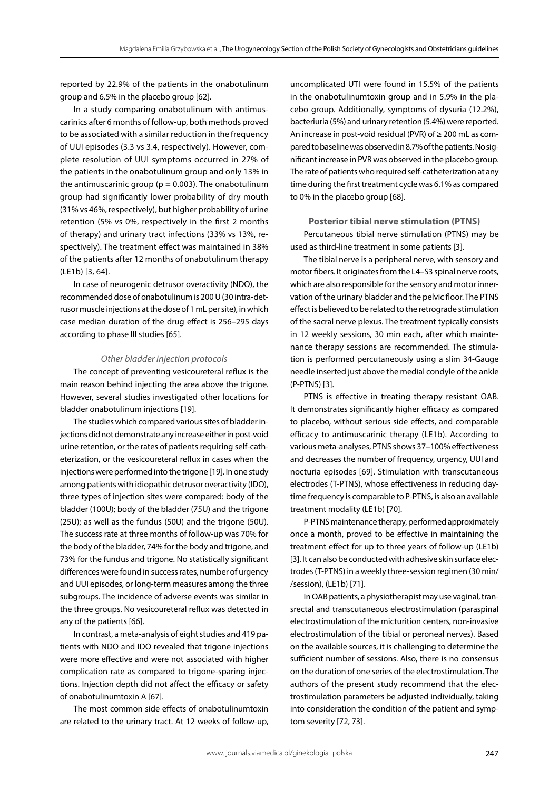reported by 22.9% of the patients in the onabotulinum group and 6.5% in the placebo group [62].

In a study comparing onabotulinum with antimuscarinics after 6 months of follow-up, both methods proved to be associated with a similar reduction in the frequency of UUI episodes (3.3 vs 3.4, respectively). However, complete resolution of UUI symptoms occurred in 27% of the patients in the onabotulinum group and only 13% in the antimuscarinic group ( $p = 0.003$ ). The onabotulinum group had significantly lower probability of dry mouth (31% vs 46%, respectively), but higher probability of urine retention (5% vs 0%, respectively in the first 2 months of therapy) and urinary tract infections (33% vs 13%, respectively). The treatment effect was maintained in 38% of the patients after 12 months of onabotulinum therapy (LE1b) [3, 64].

In case of neurogenic detrusor overactivity (NDO), the recommended dose of onabotulinum is 200 U (30 intra-detrusor muscle injections at the dose of 1 mL per site), in which case median duration of the drug effect is 256–295 days according to phase III studies [65].

#### *Other bladder injection protocols*

The concept of preventing vesicoureteral reflux is the main reason behind injecting the area above the trigone. However, several studies investigated other locations for bladder onabotulinum injections [19].

The studies which compared various sites of bladder injections did not demonstrate any increase either in post-void urine retention, or the rates of patients requiring self-catheterization, or the vesicoureteral reflux in cases when the injections were performed into the trigone [19]. In one study among patients with idiopathic detrusor overactivity (IDO), three types of injection sites were compared: body of the bladder (100U); body of the bladder (75U) and the trigone (25U); as well as the fundus (50U) and the trigone (50U). The success rate at three months of follow-up was 70% for the body of the bladder, 74% for the body and trigone, and 73% for the fundus and trigone. No statistically significant differences were found in success rates, number of urgency and UUI episodes, or long-term measures among the three subgroups. The incidence of adverse events was similar in the three groups. No vesicoureteral reflux was detected in any of the patients [66].

In contrast, a meta-analysis of eight studies and 419 patients with NDO and IDO revealed that trigone injections were more effective and were not associated with higher complication rate as compared to trigone-sparing injections. Injection depth did not affect the efficacy or safety of onabotulinumtoxin A [67].

The most common side effects of onabotulinumtoxin are related to the urinary tract. At 12 weeks of follow-up,

uncomplicated UTI were found in 15.5% of the patients in the onabotulinumtoxin group and in 5.9% in the placebo group. Additionally, symptoms of dysuria (12.2%), bacteriuria (5%) and urinary retention (5.4%) were reported. An increase in post-void residual (PVR) of ≥ 200 mL as compared to baseline was observed in 8.7% of the patients. No significant increase in PVR was observed in the placebo group. The rate of patients who required self-catheterization at any time during the first treatment cycle was 6.1% as compared to 0% in the placebo group [68].

**Posterior tibial nerve stimulation (PTNS)**

Percutaneous tibial nerve stimulation (PTNS) may be used as third-line treatment in some patients [3].

The tibial nerve is a peripheral nerve, with sensory and motor fibers. It originates from the L4–S3 spinal nerve roots, which are also responsible for the sensory and motor innervation of the urinary bladder and the pelvic floor. The PTNS effect is believed to be related to the retrograde stimulation of the sacral nerve plexus. The treatment typically consists in 12 weekly sessions, 30 min each, after which maintenance therapy sessions are recommended. The stimulation is performed percutaneously using a slim 34-Gauge needle inserted just above the medial condyle of the ankle (P-PTNS) [3].

PTNS is effective in treating therapy resistant OAB. It demonstrates significantly higher efficacy as compared to placebo, without serious side effects, and comparable efficacy to antimuscarinic therapy (LE1b). According to various meta-analyses, PTNS shows 37–100% effectiveness and decreases the number of frequency, urgency, UUI and nocturia episodes [69]. Stimulation with transcutaneous electrodes (T-PTNS), whose effectiveness in reducing daytime frequency is comparable to P-PTNS, is also an available treatment modality (LE1b) [70].

P-PTNS maintenance therapy, performed approximately once a month, proved to be effective in maintaining the treatment effect for up to three years of follow-up (LE1b) [3]. It can also be conducted with adhesive skin surface electrodes (T-PTNS) in a weekly three-session regimen (30 min/ /session), (LE1b) [71].

In OAB patients, a physiotherapist may use vaginal, transrectal and transcutaneous electrostimulation (paraspinal electrostimulation of the micturition centers, non-invasive electrostimulation of the tibial or peroneal nerves). Based on the available sources, it is challenging to determine the sufficient number of sessions. Also, there is no consensus on the duration of one series of the electrostimulation. The authors of the present study recommend that the electrostimulation parameters be adjusted individually, taking into consideration the condition of the patient and symptom severity [72, 73].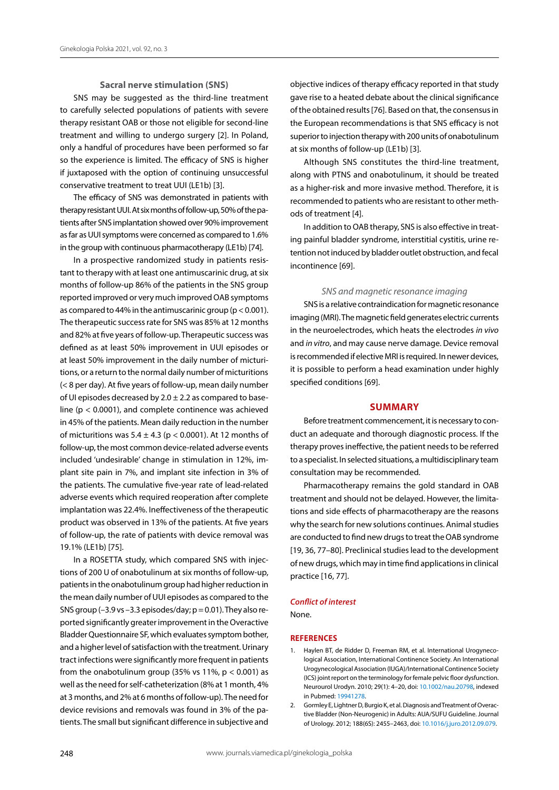#### **Sacral nerve stimulation (SNS)**

SNS may be suggested as the third-line treatment to carefully selected populations of patients with severe therapy resistant OAB or those not eligible for second-line treatment and willing to undergo surgery [2]. In Poland, only a handful of procedures have been performed so far so the experience is limited. The efficacy of SNS is higher if juxtaposed with the option of continuing unsuccessful conservative treatment to treat UUI (LE1b) [3].

The efficacy of SNS was demonstrated in patients with therapy resistant UUI. At six months of follow-up, 50% of the patients after SNS implantation showed over 90% improvement as far as UUI symptoms were concerned as compared to 1.6% in the group with continuous pharmacotherapy (LE1b) [74].

In a prospective randomized study in patients resistant to therapy with at least one antimuscarinic drug, at six months of follow-up 86% of the patients in the SNS group reported improved or very much improved OAB symptoms as compared to 44% in the antimuscarinic group ( $p < 0.001$ ). The therapeutic success rate for SNS was 85% at 12 months and 82% at five years of follow-up. Therapeutic success was defined as at least 50% improvement in UUI episodes or at least 50% improvement in the daily number of micturitions, or a return to the normal daily number of micturitions (< 8 per day). At five years of follow-up, mean daily number of UI episodes decreased by  $2.0 \pm 2.2$  as compared to baseline ( $p < 0.0001$ ), and complete continence was achieved in 45% of the patients. Mean daily reduction in the number of micturitions was  $5.4 \pm 4.3$  (p < 0.0001). At 12 months of follow-up, the most common device-related adverse events included 'undesirable' change in stimulation in 12%, implant site pain in 7%, and implant site infection in 3% of the patients. The cumulative five-year rate of lead-related adverse events which required reoperation after complete implantation was 22.4%. Ineffectiveness of the therapeutic product was observed in 13% of the patients. At five years of follow-up, the rate of patients with device removal was 19.1% (LE1b) [75].

In a ROSETTA study, which compared SNS with injections of 200 U of onabotulinum at six months of follow-up, patients in the onabotulinum group had higher reduction in the mean daily number of UUI episodes as compared to the SNS group  $(-3.9 \text{ vs } -3.3 \text{ episodes/day}; p = 0.01)$ . They also reported significantly greater improvement in the Overactive Bladder Questionnaire SF, which evaluates symptom bother, and a higher level of satisfaction with the treatment. Urinary tract infections were significantly more frequent in patients from the onabotulinum group (35% vs 11%,  $p < 0.001$ ) as well as the need for self-catheterization (8% at 1 month, 4% at 3 months, and 2% at 6 months of follow-up). The need for device revisions and removals was found in 3% of the patients. The small but significant difference in subjective and objective indices of therapy efficacy reported in that study gave rise to a heated debate about the clinical significance of the obtained results [76]. Based on that, the consensus in the European recommendations is that SNS efficacy is not superior to injection therapy with 200 units of onabotulinum at six months of follow-up (LE1b) [3].

Although SNS constitutes the third-line treatment, along with PTNS and onabotulinum, it should be treated as a higher-risk and more invasive method. Therefore, it is recommended to patients who are resistant to other methods of treatment [4].

In addition to OAB therapy, SNS is also effective in treating painful bladder syndrome, interstitial cystitis, urine retention not induced by bladder outlet obstruction, and fecal incontinence [69].

### *SNS and magnetic resonance imaging*

SNS is a relative contraindication for magnetic resonance imaging (MRI). The magnetic field generates electric currents in the neuroelectrodes, which heats the electrodes *in vivo* and *in vitro*, and may cause nerve damage. Device removal is recommended if elective MRI is required. In newer devices, it is possible to perform a head examination under highly specified conditions [69].

#### **Summary**

Before treatment commencement, it is necessary to conduct an adequate and thorough diagnostic process. If the therapy proves ineffective, the patient needs to be referred to a specialist. In selected situations, a multidisciplinary team consultation may be recommended.

Pharmacotherapy remains the gold standard in OAB treatment and should not be delayed. However, the limitations and side effects of pharmacotherapy are the reasons why the search for new solutions continues. Animal studies are conducted to find new drugs to treat the OAB syndrome [19, 36, 77-80]. Preclinical studies lead to the development of new drugs, which may in time find applications in clinical practice [16, 77].

# *Conflict of interest*

None.

#### **REFERENCES**

- 1. Haylen BT, de Ridder D, Freeman RM, et al. International Urogynecological Association, International Continence Society. An International Urogynecological Association (IUGA)/International Continence Society (ICS) joint report on the terminology for female pelvic floor dysfunction. Neurourol Urodyn. 2010; 29(1): 4–20, doi: [10.1002/nau.20798](http://dx.doi.org/10.1002/nau.20798), indexed in Pubmed: [19941278](https://www.ncbi.nlm.nih.gov/pubmed/19941278).
- 2. Gormley E, Lightner D, Burgio K, et al. Diagnosis and Treatment of Overactive Bladder (Non-Neurogenic) in Adults: AUA/SUFU Guideline. Journal of Urology. 2012; 188(6S): 2455–2463, doi: [10.1016/j.juro.2012.09.079.](http://dx.doi.org/10.1016/j.juro.2012.09.079)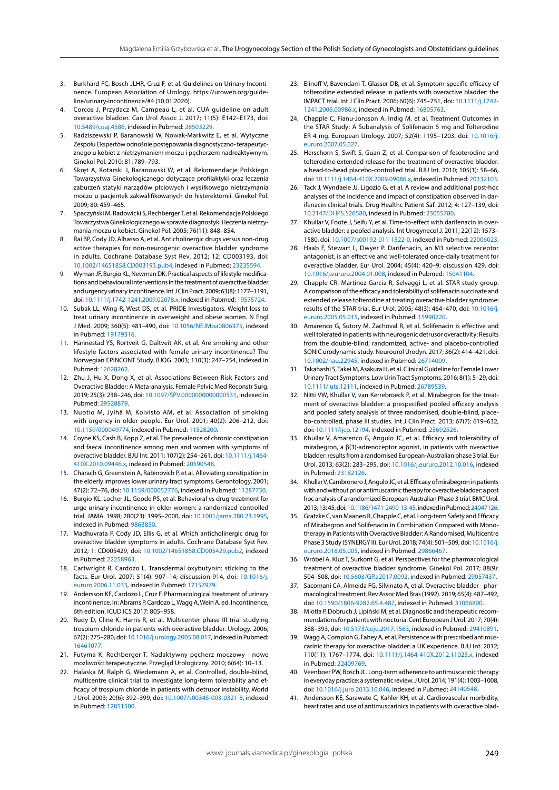- Burkhard FC, Bosch JLHR, Cruz F, et al. Guidelines on Urinary Incontinence. European Association of Urology. https://uroweb.org/guideline/urinary-incontinence/#4 (10.01.2020).
- 4. Corcos J, Przydacz M, Campeau L, et al. CUA guideline on adult overactive bladder. Can Urol Assoc J. 2017; 11(5): E142–E173, doi: [10.5489/cuaj.4586,](http://dx.doi.org/10.5489/cuaj.4586) indexed in Pubmed: [28503229](https://www.ncbi.nlm.nih.gov/pubmed/28503229).
- 5. Radziszewski P, Baranowski W, Nowak-Markwitz E, et al. Wytyczne Zespołu Ekspertów odnośnie postępowania diagnostyczno- terapeutycznego u kobiet z nietrzymaniem moczu i pęcherzem nadreaktywnym. Ginekol Pol. 2010; 81: 789–793.
- 6. Skręt A, Kotarski J, Baranowski W, et al. Rekomendacje Polskiego Towarzystwa Ginekologicznego dotyczące profilaktyki oraz leczenia zaburzeń statyki narządów płciowych i wysiłkowego nietrzymania moczu u pacjentek zakwalifikowanych do histerektomii. Ginekol Pol. 2009; 80: 459–465.
- 7. Spaczyński M, Radowicki S, Rechberger T, et al. Rekomendacje Polskiego Towarzystwa Ginekologicznego w sprawie diagnostyki i leczenia nietrzymania moczu u kobiet. Ginekol Pol. 2005; 76(11): 848–854.
- Rai BP, Cody JD, Alhasso A, et al. Anticholinergic drugs versus non-drug active therapies for non-neurogenic overactive bladder syndrome in adults. Cochrane Database Syst Rev. 2012; 12: CD003193, doi: [10.1002/14651858.CD003193.pub4](http://dx.doi.org/10.1002/14651858.CD003193.pub4), indexed in Pubmed: [23235594.](https://www.ncbi.nlm.nih.gov/pubmed/23235594)
- 9. Wyman JF, Burgio KL, Newman DK. Practical aspects of lifestyle modifications and behavioural interventions in the treatment of overactive bladder and urgency urinary incontinence. Int J Clin Pract. 2009; 63(8): 1177–1191, doi: [10.1111/j.1742-1241.2009.02078.x,](http://dx.doi.org/10.1111/j.1742-1241.2009.02078.x) indexed in Pubmed: [19575724.](https://www.ncbi.nlm.nih.gov/pubmed/19575724)
- 10. Subak LL, Wing R, West DS, et al. PRIDE Investigators. Weight loss to treat urinary incontinence in overweight and obese women. N Engl J Med. 2009; 360(5): 481–490, doi: [10.1056/NEJMoa0806375](http://dx.doi.org/10.1056/NEJMoa0806375), indexed in Pubmed: [19179316.](https://www.ncbi.nlm.nih.gov/pubmed/19179316)
- 11. Hannestad YS, Rortveit G, Daltveit AK, et al. Are smoking and other lifestyle factors associated with female urinary incontinence? The Norwegian EPINCONT Study. BJOG. 2003; 110(3): 247–254, indexed in Pubmed: [12628262.](https://www.ncbi.nlm.nih.gov/pubmed/12628262)
- 12. Zhu J, Hu X, Dong X, et al. Associations Between Risk Factors and Overactive Bladder: A Meta-analysis. Female Pelvic Med Reconstr Surg. 2019; 25(3): 238–246, doi: [10.1097/SPV.0000000000000531](http://dx.doi.org/10.1097/SPV.0000000000000531), indexed in Pubmed: [29528879.](https://www.ncbi.nlm.nih.gov/pubmed/29528879)
- 13. Nuotio M, Jylhä M, Koivisto AM, et al. Association of smoking with urgency in older people. Eur Urol. 2001; 40(2): 206–212, doi: [10.1159/000049774](http://dx.doi.org/10.1159/000049774), indexed in Pubmed: [11528200.](https://www.ncbi.nlm.nih.gov/pubmed/11528200)
- 14. Coyne KS, Cash B, Kopp Z, et al. The prevalence of chronic constipation and faecal incontinence among men and women with symptoms of overactive bladder. BJU Int. 2011; 107(2): 254–261, doi: [10.1111/j.1464-](http://dx.doi.org/10.1111/j.1464-410X.2010.09446.x) [410X.2010.09446.x](http://dx.doi.org/10.1111/j.1464-410X.2010.09446.x), indexed in Pubmed: [20590548.](https://www.ncbi.nlm.nih.gov/pubmed/20590548)
- 15. Charach G, Greenstein A, Rabinovich P, et al. Alleviating constipation in the elderly improves lower urinary tract symptoms. Gerontology. 2001; 47(2): 72–76, doi: [10.1159/000052776](http://dx.doi.org/10.1159/000052776), indexed in Pubmed: [11287730](https://www.ncbi.nlm.nih.gov/pubmed/11287730).
- 16. Burgio KL, Locher JL, Goode PS, et al. Behavioral vs drug treatment for urge urinary incontinence in older women: a randomized controlled trial. JAMA. 1998; 280(23): 1995–2000, doi: [10.1001/jama.280.23.1995,](http://dx.doi.org/10.1001/jama.280.23.1995) indexed in Pubmed: [9863850](https://www.ncbi.nlm.nih.gov/pubmed/9863850).
- 17. Madhuvrata P, Cody JD, Ellis G, et al. Which anticholinergic drug for overactive bladder symptoms in adults. Cochrane Database Syst Rev. 2012; 1: CD005429, doi: [10.1002/14651858.CD005429.pub2,](http://dx.doi.org/10.1002/14651858.CD005429.pub2) indexed in Pubmed: [22258963.](https://www.ncbi.nlm.nih.gov/pubmed/22258963)
- 18. Cartwright R, Cardozo L. Transdermal oxybutynin: sticking to the facts. Eur Urol. 2007; 51(4): 907–14; discussion 914, doi: [10.1016/j.](http://dx.doi.org/10.1016/j.eururo.2006.11.033) [eururo.2006.11.033,](http://dx.doi.org/10.1016/j.eururo.2006.11.033) indexed in Pubmed: [17157979.](https://www.ncbi.nlm.nih.gov/pubmed/17157979)
- 19. Andersson KE, Cardozo L, Cruz F. Pharmacological treatment of urinary incontinence. In: Abrams P, Cardozo L, Wagg A, Wein A. ed. Incontinence, 6th edition. ICUD ICS 2017: 805–958.
- 20. Rudy D, Cline K, Harris R, et al. Multicenter phase III trial studying trospium chloride in patients with overactive bladder. Urology. 2006; 67(2): 275–280, doi: [10.1016/j.urology.2005.08.017,](http://dx.doi.org/10.1016/j.urology.2005.08.017) indexed in Pubmed: [16461077](https://www.ncbi.nlm.nih.gov/pubmed/16461077).
- 21. Futyma K, Rechberger T. Nadaktywny pęcherz moczowy nowe możliwości terapeutyczne. Przegląd Urologiczny. 2010; 6(64): 10–13.
- 22. Halaska M, Ralph G, Wiedemann A, et al. Controlled, double-blind, multicentre clinical trial to investigate long-term tolerability and efficacy of trospium chloride in patients with detrusor instability. World J Urol. 2003; 20(6): 392–399, doi: [10.1007/s00345-003-0321-8,](http://dx.doi.org/10.1007/s00345-003-0321-8) indexed in Pubmed: [12811500.](https://www.ncbi.nlm.nih.gov/pubmed/12811500)
- 23. Elinoff V, Bavendam T, Glasser DB, et al. Symptom-specific efficacy of tolterodine extended release in patients with overactive bladder: the IMPACT trial. Int J Clin Pract. 2006; 60(6): 745–751, doi: [10.1111/j.1742-](http://dx.doi.org/10.1111/j.1742-1241.2006.00986.x) [1241.2006.00986.x](http://dx.doi.org/10.1111/j.1742-1241.2006.00986.x), indexed in Pubmed: [16805763.](https://www.ncbi.nlm.nih.gov/pubmed/16805763)
- 24. Chapple C, Fianu-Jonsson A, Indig M, et al. Treatment Outcomes in the STAR Study: A Subanalysis of Solifenacin 5 mg and Tolterodine ER 4 mg. European Urology. 2007; 52(4): 1195–1203, doi: [10.1016/j.](http://dx.doi.org/10.1016/j.eururo.2007.05.027) [eururo.2007.05.027](http://dx.doi.org/10.1016/j.eururo.2007.05.027).
- 25. Herschorn S, Swift S, Guan Z, et al. Comparison of fesoterodine and tolterodine extended release for the treatment of overactive bladder: a head-to-head placebo-controlled trial. BJU Int. 2010; 105(1): 58–66, doi: [10.1111/j.1464-410X.2009.09086.x,](http://dx.doi.org/10.1111/j.1464-410X.2009.09086.x) indexed in Pubmed: [20132103](https://www.ncbi.nlm.nih.gov/pubmed/20132103).
- 26. Tack J, Wyndaele JJ, Ligozio G, et al. A review and additional post-hoc analyses of the incidence and impact of constipation observed in darifenacin clinical trials. Drug Healthc Patient Saf. 2012; 4: 127–139, doi: [10.2147/DHPS.S26580,](http://dx.doi.org/10.2147/DHPS.S26580) indexed in Pubmed: [23055780](https://www.ncbi.nlm.nih.gov/pubmed/23055780).
- 27. Khullar V, Foote J, Seifu Y, et al. Time-to-effect with darifenacin in overactive bladder: a pooled analysis. Int Urogynecol J. 2011; 22(12): 1573– 1580, doi: [10.1007/s00192-011-1522-0,](http://dx.doi.org/10.1007/s00192-011-1522-0) indexed in Pubmed: [22006023](https://www.ncbi.nlm.nih.gov/pubmed/22006023).
- 28. Haab F, Stewart L, Dwyer P. Darifenacin, an M3 selective receptor antagonist, is an effective and well-tolerated once-daily treatment for overactive bladder. Eur Urol. 2004; 45(4): 420–9; discussion 429, doi: [10.1016/j.eururo.2004.01.008,](http://dx.doi.org/10.1016/j.eururo.2004.01.008) indexed in Pubmed: [15041104.](https://www.ncbi.nlm.nih.gov/pubmed/15041104)
- 29. Chapple CR, Martinez-Garcia R, Selvaggi L, et al. STAR study group. A comparison of the efficacy and tolerability of solifenacin succinate and extended release tolterodine at treating overactive bladder syndrome: results of the STAR trial. Eur Urol. 2005; 48(3): 464–470, doi: [10.1016/j.](http://dx.doi.org/10.1016/j.eururo.2005.05.015) [eururo.2005.05.015](http://dx.doi.org/10.1016/j.eururo.2005.05.015), indexed in Pubmed: [15990220.](https://www.ncbi.nlm.nih.gov/pubmed/15990220)
- 30. Amarenco G, Sutory M, Zachoval R, et al. Solifenacin is effective and well tolerated in patients with neurogenic detrusor overactivity: Results from the double-blind, randomized, active- and placebo-controlled SONIC urodynamic study. Neurourol Urodyn. 2017; 36(2): 414–421, doi: [10.1002/nau.22945,](http://dx.doi.org/10.1002/nau.22945) indexed in Pubmed: [26714009](https://www.ncbi.nlm.nih.gov/pubmed/26714009).
- 31. Takahashi S, Takei M, Asakura H, et al. Clinical Guideline for Female Lower Urinary Tract Symptoms. Low Urin Tract Symptoms. 2016; 8(1): 5–29, doi: [10.1111/luts.12111](http://dx.doi.org/10.1111/luts.12111), indexed in Pubmed: [26789539.](https://www.ncbi.nlm.nih.gov/pubmed/26789539)
- 32. Nitti VW, Khullar V, van Kerrebroeck P, et al. Mirabegron for the treatment of overactive bladder: a prespecified pooled efficacy analysis and pooled safety analysis of three randomised, double-blind, placebo-controlled, phase III studies. Int J Clin Pract. 2013; 67(7): 619–632, doi: [10.1111/ijcp.12194,](http://dx.doi.org/10.1111/ijcp.12194) indexed in Pubmed: [23692526.](https://www.ncbi.nlm.nih.gov/pubmed/23692526)
- 33. Khullar V, Amarenco G, Angulo JC, et al. Efficacy and tolerability of mirabegron, a β(3)-adrenoceptor agonist, in patients with overactive bladder: results from a randomised European-Australian phase 3 trial. Eur Urol. 2013; 63(2): 283–295, doi: [10.1016/j.eururo.2012.10.016](http://dx.doi.org/10.1016/j.eururo.2012.10.016), indexed in Pubmed: [23182126](https://www.ncbi.nlm.nih.gov/pubmed/23182126).
- 34. Khullar V, Cambronero J, Angulo JC, et al. Efficacy of mirabegron in patients with and without prior antimuscarinic therapy for overactive bladder: a post hoc analysis of a randomized European-Australian Phase 3 trial. BMC Urol. 2013; 13: 45, doi: [10.1186/1471-2490-13-45](http://dx.doi.org/10.1186/1471-2490-13-45), indexed in Pubmed: [24047126](https://www.ncbi.nlm.nih.gov/pubmed/24047126).
- 35. Gratzke C, van Maanen R, Chapple C, et al. Long-term Safety and Efficacy of Mirabegron and Solifenacin in Combination Compared with Monotherapy in Patients with Overactive Bladder: A Randomised, Multicentre Phase 3 Study (SYNERGY II). Eur Urol. 2018; 74(4): 501–509, doi: [10.1016/j.](http://dx.doi.org/10.1016/j.eururo.2018.05.005) [eururo.2018.05.005](http://dx.doi.org/10.1016/j.eururo.2018.05.005), indexed in Pubmed: [29866467.](https://www.ncbi.nlm.nih.gov/pubmed/29866467)
- 36. Wróbel A, Kluz T, Surkont G, et al. Perspectives for the pharmacological treatment of overactive bladder syndrome. Ginekol Pol. 2017; 88(9): 504–508, doi: [10.5603/GP.a2017.0092](http://dx.doi.org/10.5603/GP.a2017.0092), indexed in Pubmed: [29057437](https://www.ncbi.nlm.nih.gov/pubmed/29057437).
- 37. Sacomani CA, Almeida FG, Silvinato A, et al. Overactive bladder pharmacological treatment. Rev Assoc Med Bras (1992). 2019; 65(4): 487–492, doi: [10.1590/1806-9282.65.4.487,](http://dx.doi.org/10.1590/1806-9282.65.4.487) indexed in Pubmed: [31066800.](https://www.ncbi.nlm.nih.gov/pubmed/31066800)
- 38. Miotła P, Dobruch J, Lipiński M, et al. Diagnostic and therapeutic recommendations for patients with nocturia. Cent European J Urol. 2017; 70(4): 388–393, doi: [10.5173/ceju.2017.1563,](http://dx.doi.org/10.5173/ceju.2017.1563) indexed in Pubmed: [29410891.](https://www.ncbi.nlm.nih.gov/pubmed/29410891)
- 39. Wagg A, Compion G, Fahey A, et al. Persistence with prescribed antimuscarinic therapy for overactive bladder: a UK experience. BJU Int. 2012; 110(11): 1767–1774, doi: [10.1111/j.1464-410X.2012.11023.x](http://dx.doi.org/10.1111/j.1464-410X.2012.11023.x), indexed in Pubmed: [22409769](https://www.ncbi.nlm.nih.gov/pubmed/22409769).
- 40. Veenboer PW, Bosch JL. Long-term adherence to antimuscarinic therapy in everyday practice: a systematic review. J Urol. 2014; 191(4): 1003–1008, doi: [10.1016/j.juro.2013.10.046](http://dx.doi.org/10.1016/j.juro.2013.10.046), indexed in Pubmed: [24140548](https://www.ncbi.nlm.nih.gov/pubmed/24140548).
- 41. Andersson KE, Sarawate C, Kahler KH, et al. Cardiovascular morbidity, heart rates and use of antimuscarinics in patients with overactive blad-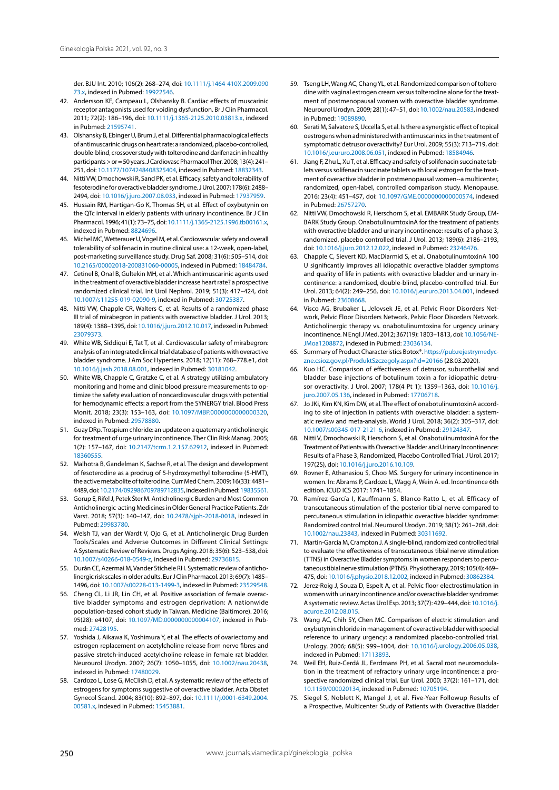der. BJU Int. 2010; 106(2): 268–274, doi: [10.1111/j.1464-410X.2009.090](http://dx.doi.org/10.1111/j.1464-410X.2009.09073.x) [73.x](http://dx.doi.org/10.1111/j.1464-410X.2009.09073.x), indexed in Pubmed: [19922546.](https://www.ncbi.nlm.nih.gov/pubmed/19922546)

- 42. Andersson KE, Campeau L, Olshansky B. Cardiac effects of muscarinic receptor antagonists used for voiding dysfunction. Br J Clin Pharmacol. 2011; 72(2): 186–196, doi: [10.1111/j.1365-2125.2010.03813.x](http://dx.doi.org/10.1111/j.1365-2125.2010.03813.x), indexed in Pubmed: [21595741.](https://www.ncbi.nlm.nih.gov/pubmed/21595741)
- 43. Olshansky B, Ebinger U, Brum J, et al. Differential pharmacological effects of antimuscarinic drugs on heart rate: a randomized, placebo-controlled, double-blind, crossover study with tolterodine and darifenacin in healthy participants  $>$  or = 50 years. J Cardiovasc Pharmacol Ther. 2008; 13(4): 241– 251, doi: [10.1177/1074248408325404](http://dx.doi.org/10.1177/1074248408325404), indexed in Pubmed: [18832343](https://www.ncbi.nlm.nih.gov/pubmed/18832343).
- 44. Nitti VW, Dmochowski R, Sand PK, et al. Efficacy, safety and tolerability of fesoterodine for overactive bladder syndrome. J Urol. 2007; 178(6): 2488– 2494, doi: [10.1016/j.juro.2007.08.033,](http://dx.doi.org/10.1016/j.juro.2007.08.033) indexed in Pubmed: [17937959](https://www.ncbi.nlm.nih.gov/pubmed/17937959).
- 45. Hussain RM, Hartigan-Go K, Thomas SH, et al. Effect of oxybutynin on the QTc interval in elderly patients with urinary incontinence. Br J Clin Pharmacol. 1996; 41(1): 73–75, doi: [10.1111/j.1365-2125.1996.tb00161.x,](http://dx.doi.org/10.1111/j.1365-2125.1996.tb00161.x) indexed in Pubmed: [8824696](https://www.ncbi.nlm.nih.gov/pubmed/8824696).
- 46. Michel MC, Wetterauer U, Vogel M, et al. Cardiovascular safety and overall tolerability of solifenacin in routine clinical use: a 12-week, open-label, post-marketing surveillance study. Drug Saf. 2008; 31(6): 505–514, doi: [10.2165/00002018-200831060-00005](http://dx.doi.org/10.2165/00002018-200831060-00005), indexed in Pubmed: [18484784.](https://www.ncbi.nlm.nih.gov/pubmed/18484784)
- 47. Cetinel B, Onal B, Gultekin MH, et al. Which antimuscarinic agents used in the treatment of overactive bladder increase heart rate? a prospective randomized clinical trial. Int Urol Nephrol. 2019; 51(3): 417–424, doi: [10.1007/s11255-019-02090-9](http://dx.doi.org/10.1007/s11255-019-02090-9), indexed in Pubmed: [30725387.](https://www.ncbi.nlm.nih.gov/pubmed/30725387)
- 48. Nitti VW, Chapple CR, Walters C, et al. Results of a randomized phase III trial of mirabegron in patients with overactive bladder. J Urol. 2013; 189(4): 1388–1395, doi: [10.1016/j.juro.2012.10.017,](http://dx.doi.org/10.1016/j.juro.2012.10.017) indexed in Pubmed: [23079373](https://www.ncbi.nlm.nih.gov/pubmed/23079373).
- 49. White WB, Siddiqui E, Tat T, et al. Cardiovascular safety of mirabegron: analysis of an integrated clinical trial database of patients with overactive bladder syndrome. J Am Soc Hypertens. 2018; 12(11): 768–778.e1, doi: [10.1016/j.jash.2018.08.001](http://dx.doi.org/10.1016/j.jash.2018.08.001), indexed in Pubmed: [30181042.](https://www.ncbi.nlm.nih.gov/pubmed/30181042)
- 50. White WB, Chapple C, Gratzke C, et al. A strategy utilizing ambulatory monitoring and home and clinic blood pressure measurements to optimize the safety evaluation of noncardiovascular drugs with potential for hemodynamic effects: a report from the SYNERGY trial. Blood Press Monit. 2018; 23(3): 153–163, doi: [10.1097/MBP.0000000000000320,](http://dx.doi.org/10.1097/MBP.0000000000000320) indexed in Pubmed: [29578880.](https://www.ncbi.nlm.nih.gov/pubmed/29578880)
- 51. Guay DRp. Trospium chloride: an update on a quaternary anticholinergic for treatment of urge urinary incontinence. Ther Clin Risk Manag. 2005; 1(2): 157–167, doi: [10.2147/tcrm.1.2.157.62912](http://dx.doi.org/10.2147/tcrm.1.2.157.62912), indexed in Pubmed: [18360555](https://www.ncbi.nlm.nih.gov/pubmed/18360555).
- 52. Malhotra B, Gandelman K, Sachse R, et al. The design and development of fesoterodine as a prodrug of 5-hydroxymethyl tolterodine (5-HMT), the active metabolite of tolterodine. Curr Med Chem. 2009; 16(33): 4481– 4489, doi: [10.2174/092986709789712835](http://dx.doi.org/10.2174/092986709789712835), indexed in Pubmed: [19835561.](https://www.ncbi.nlm.nih.gov/pubmed/19835561)
- 53. Gorup E, Rifel J, Petek Šter M. Anticholinergic Burden and Most Common Anticholinergic-acting Medicines in Older General Practice Patients. Zdr Varst. 2018; 57(3): 140–147, doi: [10.2478/sjph-2018-0018](http://dx.doi.org/10.2478/sjph-2018-0018), indexed in Pubmed: [29983780.](https://www.ncbi.nlm.nih.gov/pubmed/29983780)
- 54. Welsh TJ, van der Wardt V, Ojo G, et al. Anticholinergic Drug Burden Tools/Scales and Adverse Outcomes in Different Clinical Settings: A Systematic Review of Reviews. Drugs Aging. 2018; 35(6): 523–538, doi: [10.1007/s40266-018-0549-z](http://dx.doi.org/10.1007/s40266-018-0549-z), indexed in Pubmed: [29736815.](https://www.ncbi.nlm.nih.gov/pubmed/29736815)
- 55. Durán CE, Azermai M, Vander Stichele RH. Systematic review of anticholinergic risk scales in older adults. Eur J Clin Pharmacol. 2013; 69(7): 1485– 1496, doi: [10.1007/s00228-013-1499-3](http://dx.doi.org/10.1007/s00228-013-1499-3), indexed in Pubmed: [23529548.](https://www.ncbi.nlm.nih.gov/pubmed/23529548)
- 56. Cheng CL, Li JR, Lin CH, et al. Positive association of female overactive bladder symptoms and estrogen deprivation: A nationwide population-based cohort study in Taiwan. Medicine (Baltimore). 2016; 95(28): e4107, doi: [10.1097/MD.0000000000004107](http://dx.doi.org/10.1097/MD.0000000000004107), indexed in Pubmed: [27428195](https://www.ncbi.nlm.nih.gov/pubmed/27428195).
- 57. Yoshida J, Aikawa K, Yoshimura Y, et al. The effects of ovariectomy and estrogen replacement on acetylcholine release from nerve fibres and passive stretch-induced acetylcholine release in female rat bladder. Neurourol Urodyn. 2007; 26(7): 1050–1055, doi: [10.1002/nau.20438,](http://dx.doi.org/10.1002/nau.20438) indexed in Pubmed: [17480029.](https://www.ncbi.nlm.nih.gov/pubmed/17480029)
- 58. Cardozo L, Lose G, McClish D, et al. A systematic review of the effects of estrogens for symptoms suggestive of overactive bladder. Acta Obstet Gynecol Scand. 2004; 83(10): 892–897, doi: [10.1111/j.0001-6349.2004.](http://dx.doi.org/10.1111/j.0001-6349.2004.00581.x) [00581.x](http://dx.doi.org/10.1111/j.0001-6349.2004.00581.x), indexed in Pubmed: [15453881.](https://www.ncbi.nlm.nih.gov/pubmed/15453881)
- 59. Tseng LH, Wang AC, Chang YL, et al. Randomized comparison of tolterodine with vaginal estrogen cream versus tolterodine alone for the treatment of postmenopausal women with overactive bladder syndrome. Neurourol Urodyn. 2009; 28(1): 47–51, doi: [10.1002/nau.20583,](http://dx.doi.org/10.1002/nau.20583) indexed in Pubmed: [19089890](https://www.ncbi.nlm.nih.gov/pubmed/19089890).
- 60. Serati M, Salvatore S, Uccella S, et al. Is there a synergistic effect of topical oestrogens when administered with antimuscarinics in the treatment of symptomatic detrusor overactivity? Eur Urol. 2009; 55(3): 713–719, doi: [10.1016/j.eururo.2008.06.051,](http://dx.doi.org/10.1016/j.eururo.2008.06.051) indexed in Pubmed: [18584946.](https://www.ncbi.nlm.nih.gov/pubmed/18584946)
- 61. Jiang F, Zhu L, Xu T, et al. Efficacy and safety of solifenacin succinate tablets versus solifenacin succinate tablets with local estrogen for the treatment of overactive bladder in postmenopausal women--a multicenter, randomized, open-label, controlled comparison study. Menopause. 2016; 23(4): 451–457, doi: [10.1097/GME.0000000000000574,](http://dx.doi.org/10.1097/GME.0000000000000574) indexed in Pubmed: [26757270](https://www.ncbi.nlm.nih.gov/pubmed/26757270).
- 62. Nitti VW, Dmochowski R, Herschorn S, et al. EMBARK Study Group, EM-BARK Study Group. OnabotulinumtoxinA for the treatment of patients with overactive bladder and urinary incontinence: results of a phase 3, randomized, placebo controlled trial. J Urol. 2013; 189(6): 2186–2193, doi: [10.1016/j.juro.2012.12.022](http://dx.doi.org/10.1016/j.juro.2012.12.022), indexed in Pubmed: [23246476](https://www.ncbi.nlm.nih.gov/pubmed/23246476).
- 63. Chapple C, Sievert KD, MacDiarmid S, et al. OnabotulinumtoxinA 100 U significantly improves all idiopathic overactive bladder symptoms and quality of life in patients with overactive bladder and urinary incontinence: a randomised, double-blind, placebo-controlled trial. Eur Urol. 2013; 64(2): 249–256, doi: [10.1016/j.eururo.2013.04.001](http://dx.doi.org/10.1016/j.eururo.2013.04.001), indexed in Pubmed: [23608668](https://www.ncbi.nlm.nih.gov/pubmed/23608668).
- 64. Visco AG, Brubaker L, Jelovsek JE, et al. Pelvic Floor Disorders Network, Pelvic Floor Disorders Network, Pelvic Floor Disorders Network. Anticholinergic therapy vs. onabotulinumtoxina for urgency urinary incontinence. N Engl J Med. 2012; 367(19): 1803–1813, doi: [10.1056/NE-](http://dx.doi.org/10.1056/NEJMoa1208872)[JMoa1208872,](http://dx.doi.org/10.1056/NEJMoa1208872) indexed in Pubmed: [23036134](https://www.ncbi.nlm.nih.gov/pubmed/23036134).
- 65. Summary of Product Characteristics Botox®. [https://pub.rejestrymedyc](https://pub.rejestrymedyczne.csioz.gov.pl/ProduktSzczegoly.aspx?id=20166)[zne.csioz.gov.pl/ProduktSzczegoly.aspx?id=20166](https://pub.rejestrymedyczne.csioz.gov.pl/ProduktSzczegoly.aspx?id=20166) (28.03.2020).
- 66. Kuo HC. Comparison of effectiveness of detrusor, suburothelial and bladder base injections of botulinum toxin a for idiopathic detrusor overactivity. J Urol. 2007; 178(4 Pt 1): 1359–1363, doi: [10.1016/j.](http://dx.doi.org/10.1016/j.juro.2007.05.136) [juro.2007.05.136](http://dx.doi.org/10.1016/j.juro.2007.05.136), indexed in Pubmed: [17706718.](https://www.ncbi.nlm.nih.gov/pubmed/17706718)
- 67. Jo JKi, Kim KN, Kim DW, et al. The effect of onabotulinumtoxinA according to site of injection in patients with overactive bladder: a systematic review and meta-analysis. World J Urol. 2018; 36(2): 305–317, doi: [10.1007/s00345-017-2121-6](http://dx.doi.org/10.1007/s00345-017-2121-6), indexed in Pubmed: [29124347.](https://www.ncbi.nlm.nih.gov/pubmed/29124347)
- 68. Nitti V, Dmochowski R, Herschorn S, et al. OnabotulinumtoxinA for the Treatment of Patients with Overactive Bladder and Urinary Incontinence: Results of a Phase 3, Randomized, Placebo Controlled Trial. J Urol. 2017; 197(2S), doi: [10.1016/j.juro.2016.10.109.](http://dx.doi.org/10.1016/j.juro.2016.10.109)
- 69. Rovner E, Athanasiou S, Choo MS. Surgery for urinary incontinence in women. In: Abrams P, Cardozo L, Wagg A, Wein A. ed. Incontinence 6th edition. ICUD ICS 2017: 1741–1854.
- 70. Ramírez-García I, Kauffmann S, Blanco-Ratto L, et al. Efficacy of transcutaneous stimulation of the posterior tibial nerve compared to percutaneous stimulation in idiopathic overactive bladder syndrome: Randomized control trial. Neurourol Urodyn. 2019; 38(1): 261–268, doi: [10.1002/nau.23843,](http://dx.doi.org/10.1002/nau.23843) indexed in Pubmed: [30311692](https://www.ncbi.nlm.nih.gov/pubmed/30311692).
- 71. Martin-Garcia M, Crampton J. A single-blind, randomized controlled trial to evaluate the effectiveness of transcutaneous tibial nerve stimulation (TTNS) in Overactive Bladder symptoms in women responders to percutaneous tibial nerve stimulation (PTNS). Physiotherapy. 2019; 105(4): 469– 475, doi: [10.1016/j.physio.2018.12.002,](http://dx.doi.org/10.1016/j.physio.2018.12.002) indexed in Pubmed: [30862384](https://www.ncbi.nlm.nih.gov/pubmed/30862384).
- 72. Jerez-Roig J, Souza D, Espelt A, et al. Pelvic floor electrostimulation in women with urinary incontinence and/or overactive bladder syndrome: A systematic review. Actas Urol Esp. 2013; 37(7): 429–444, doi: [10.1016/j.](http://dx.doi.org/10.1016/j.acuroe.2012.08.015) [acuroe.2012.08.015.](http://dx.doi.org/10.1016/j.acuroe.2012.08.015)
- 73. Wang AC, Chih SY, Chen MC. Comparison of electric stimulation and oxybutynin chloride in management of overactive bladder with special reference to urinary urgency: a randomized placebo-controlled trial. Urology. 2006; 68(5): 999–1004, doi: [10.1016/j.urology.2006.05.038](http://dx.doi.org/10.1016/j.urology.2006.05.038), indexed in Pubmed: [17113893.](https://www.ncbi.nlm.nih.gov/pubmed/17113893)
- 74. Weil EH, Ruiz-Cerdá JL, Eerdmans PH, et al. Sacral root neuromodulation in the treatment of refractory urinary urge incontinence: a prospective randomized clinical trial. Eur Urol. 2000; 37(2): 161–171, doi: [10.1159/000020134,](http://dx.doi.org/10.1159/000020134) indexed in Pubmed: [10705194](https://www.ncbi.nlm.nih.gov/pubmed/10705194).
- 75. Siegel S, Noblett K, Mangel J, et al. Five-Year Followup Results of a Prospective, Multicenter Study of Patients with Overactive Bladder